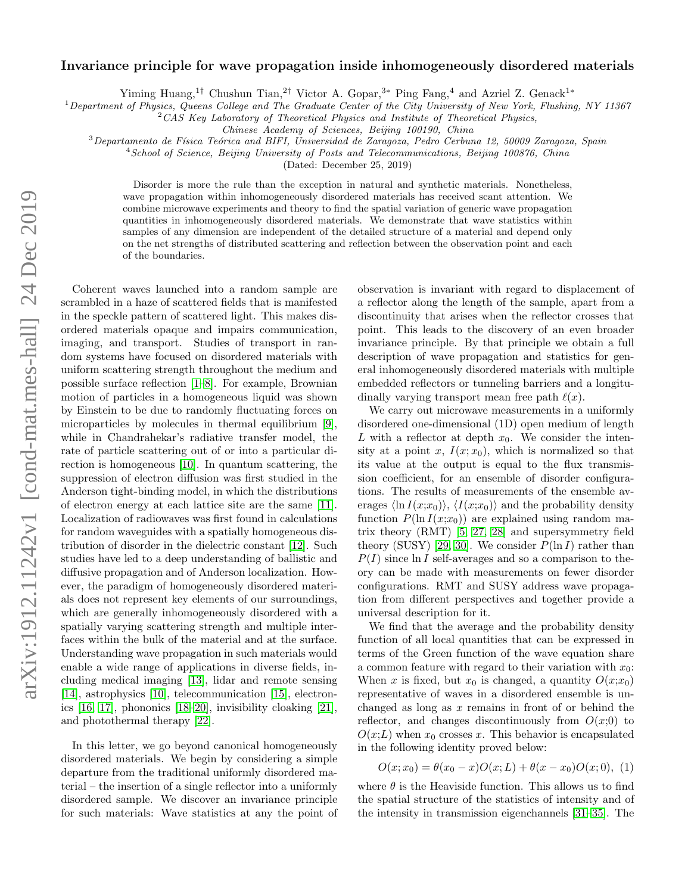# $arXiv:1912.11242v1$  [cond-mat.mes-hall] 24 Dec 2019 arXiv:1912.11242v1 [cond-mat.mes-hall] 24 Dec 2019

# Invariance principle for wave propagation inside inhomogeneously disordered materials

Yiming Huang,<sup>1†</sup> Chushun Tian,<sup>2†</sup> Victor A. Gopar,<sup>3∗</sup> Ping Fang,<sup>4</sup> and Azriel Z. Genack<sup>1</sup><sup>∗</sup>

<sup>1</sup>Department of Physics, Queens College and The Graduate Center of the City University of New York, Flushing, NY 11367

 $2$ CAS Key Laboratory of Theoretical Physics and Institute of Theoretical Physics,

Chinese Academy of Sciences, Beijing 100190, China

 $3$ Departamento de Física Teórica and BIFI, Universidad de Zaragoza, Pedro Cerbuna 12, 50009 Zaragoza, Spain

<sup>4</sup> School of Science, Beijing University of Posts and Telecommunications, Beijing 100876, China

(Dated: December 25, 2019)

Disorder is more the rule than the exception in natural and synthetic materials. Nonetheless, wave propagation within inhomogeneously disordered materials has received scant attention. We combine microwave experiments and theory to find the spatial variation of generic wave propagation quantities in inhomogeneously disordered materials. We demonstrate that wave statistics within samples of any dimension are independent of the detailed structure of a material and depend only on the net strengths of distributed scattering and reflection between the observation point and each of the boundaries.

Coherent waves launched into a random sample are scrambled in a haze of scattered fields that is manifested in the speckle pattern of scattered light. This makes disordered materials opaque and impairs communication, imaging, and transport. Studies of transport in random systems have focused on disordered materials with uniform scattering strength throughout the medium and possible surface reflection [\[1–](#page-4-0)[8\]](#page-4-1). For example, Brownian motion of particles in a homogeneous liquid was shown by Einstein to be due to randomly fluctuating forces on microparticles by molecules in thermal equilibrium [\[9\]](#page-4-2), while in Chandrahekar's radiative transfer model, the rate of particle scattering out of or into a particular direction is homogeneous [\[10\]](#page-4-3). In quantum scattering, the suppression of electron diffusion was first studied in the Anderson tight-binding model, in which the distributions of electron energy at each lattice site are the same [\[11\]](#page-4-4). Localization of radiowaves was first found in calculations for random waveguides with a spatially homogeneous distribution of disorder in the dielectric constant [\[12\]](#page-4-5). Such studies have led to a deep understanding of ballistic and diffusive propagation and of Anderson localization. However, the paradigm of homogeneously disordered materials does not represent key elements of our surroundings, which are generally inhomogeneously disordered with a spatially varying scattering strength and multiple interfaces within the bulk of the material and at the surface. Understanding wave propagation in such materials would enable a wide range of applications in diverse fields, including medical imaging [\[13\]](#page-4-6), lidar and remote sensing [\[14\]](#page-4-7), astrophysics [\[10\]](#page-4-3), telecommunication [\[15\]](#page-4-8), electronics [\[16,](#page-4-9) [17\]](#page-4-10), phononics [\[18–](#page-4-11)[20\]](#page-4-12), invisibility cloaking [\[21\]](#page-5-0), and photothermal therapy [\[22\]](#page-5-1).

In this letter, we go beyond canonical homogeneously disordered materials. We begin by considering a simple departure from the traditional uniformly disordered material – the insertion of a single reflector into a uniformly disordered sample. We discover an invariance principle for such materials: Wave statistics at any the point of observation is invariant with regard to displacement of a reflector along the length of the sample, apart from a discontinuity that arises when the reflector crosses that point. This leads to the discovery of an even broader invariance principle. By that principle we obtain a full description of wave propagation and statistics for general inhomogeneously disordered materials with multiple embedded reflectors or tunneling barriers and a longitudinally varying transport mean free path  $\ell(x)$ .

We carry out microwave measurements in a uniformly disordered one-dimensional (1D) open medium of length L with a reflector at depth  $x_0$ . We consider the intensity at a point x,  $I(x; x_0)$ , which is normalized so that its value at the output is equal to the flux transmission coefficient, for an ensemble of disorder configurations. The results of measurements of the ensemble averages  $\langle \ln I(x;x_0) \rangle$ ,  $\langle I(x;x_0) \rangle$  and the probability density function  $P(\ln I(x;x_0))$  are explained using random matrix theory (RMT) [\[5,](#page-4-13) [27,](#page-5-2) [28\]](#page-5-3) and supersymmetry field theory (SUSY) [\[29,](#page-5-4) [30\]](#page-5-5). We consider  $P(\ln I)$  rather than  $P(I)$  since ln I self-averages and so a comparison to theory can be made with measurements on fewer disorder configurations. RMT and SUSY address wave propagation from different perspectives and together provide a universal description for it.

We find that the average and the probability density function of all local quantities that can be expressed in terms of the Green function of the wave equation share a common feature with regard to their variation with  $x_0$ : When x is fixed, but  $x_0$  is changed, a quantity  $O(x; x_0)$ representative of waves in a disordered ensemble is unchanged as long as  $x$  remains in front of or behind the reflector, and changes discontinuously from  $O(x;0)$  to  $O(x;L)$  when  $x_0$  crosses x. This behavior is encapsulated in the following identity proved below:

<span id="page-0-0"></span>
$$
O(x; x_0) = \theta(x_0 - x)O(x; L) + \theta(x - x_0)O(x; 0), \tag{1}
$$

where  $\theta$  is the Heaviside function. This allows us to find the spatial structure of the statistics of intensity and of the intensity in transmission eigenchannels [\[31–](#page-5-6)[35\]](#page-5-7). The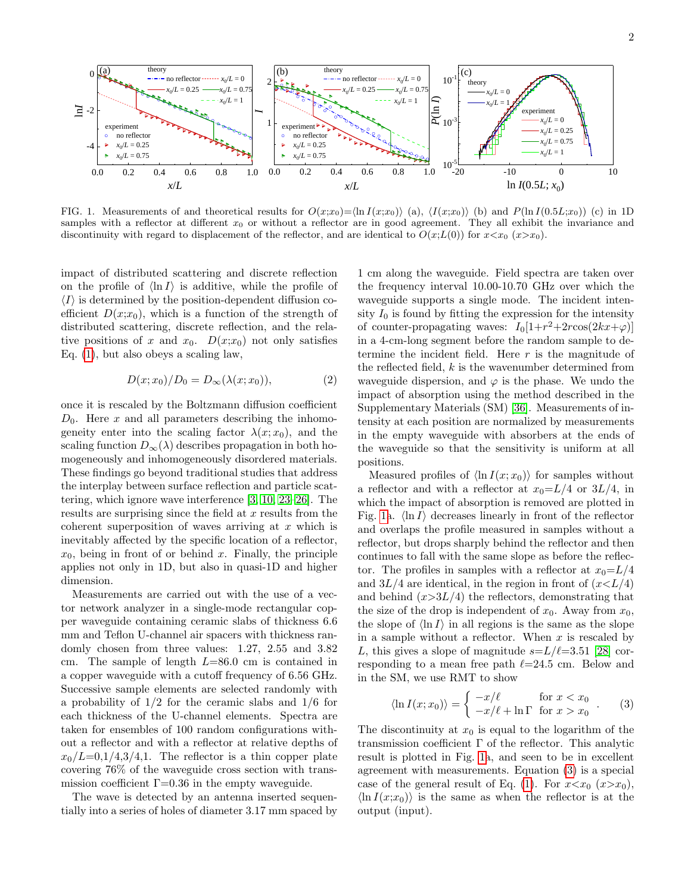

<span id="page-1-0"></span>FIG. 1. Measurements of and theoretical results for  $O(x;x_0)=\ln I(x;x_0)$  (a),  $\langle I(x;x_0)\rangle$  (b) and  $P(\ln I(0.5L;x_0))$  (c) in 1D samples with a reflector at different  $x_0$  or without a reflector are in good agreement. They all exhibit the invariance and discontinuity with regard to displacement of the reflector, and are identical to  $O(x;L(0))$  for  $x \lt x_0$  ( $x \gt x_0$ ).

impact of distributed scattering and discrete reflection on the profile of  $\langle \ln I \rangle$  is additive, while the profile of  $\langle I \rangle$  is determined by the position-dependent diffusion coefficient  $D(x;x_0)$ , which is a function of the strength of distributed scattering, discrete reflection, and the relative positions of x and  $x_0$ .  $D(x;x_0)$  not only satisfies Eq. [\(1\)](#page-0-0), but also obeys a scaling law,

<span id="page-1-2"></span>
$$
D(x; x_0)/D_0 = D_{\infty}(\lambda(x; x_0)),\tag{2}
$$

once it is rescaled by the Boltzmann diffusion coefficient  $D_0$ . Here x and all parameters describing the inhomogeneity enter into the scaling factor  $\lambda(x; x_0)$ , and the scaling function  $D_{\infty}(\lambda)$  describes propagation in both homogeneously and inhomogeneously disordered materials. These findings go beyond traditional studies that address the interplay between surface reflection and particle scattering, which ignore wave interference [\[3,](#page-4-14) [10,](#page-4-3) [23](#page-5-8)[–26\]](#page-5-9). The results are surprising since the field at  $x$  results from the coherent superposition of waves arriving at  $x$  which is inevitably affected by the specific location of a reflector,  $x_0$ , being in front of or behind x. Finally, the principle applies not only in 1D, but also in quasi-1D and higher dimension.

Measurements are carried out with the use of a vector network analyzer in a single-mode rectangular copper waveguide containing ceramic slabs of thickness 6.6 mm and Teflon U-channel air spacers with thickness randomly chosen from three values: 1.27, 2.55 and 3.82 cm. The sample of length  $L=86.0$  cm is contained in a copper waveguide with a cutoff frequency of 6.56 GHz. Successive sample elements are selected randomly with a probability of  $1/2$  for the ceramic slabs and  $1/6$  for each thickness of the U-channel elements. Spectra are taken for ensembles of 100 random configurations without a reflector and with a reflector at relative depths of  $x_0/L=0,1/4,3/4,1$ . The reflector is a thin copper plate covering 76% of the waveguide cross section with transmission coefficient  $\Gamma$ =0.36 in the empty waveguide.

The wave is detected by an antenna inserted sequentially into a series of holes of diameter 3.17 mm spaced by

1 cm along the waveguide. Field spectra are taken over the frequency interval 10.00-10.70 GHz over which the waveguide supports a single mode. The incident intensity  $I_0$  is found by fitting the expression for the intensity of counter-propagating waves:  $I_0[1+r^2+2r\cos(2kx+\varphi)]$ in a 4-cm-long segment before the random sample to determine the incident field. Here  $r$  is the magnitude of the reflected field,  $k$  is the wavenumber determined from waveguide dispersion, and  $\varphi$  is the phase. We undo the impact of absorption using the method described in the Supplementary Materials (SM) [\[36\]](#page-5-10). Measurements of intensity at each position are normalized by measurements in the empty waveguide with absorbers at the ends of the waveguide so that the sensitivity is uniform at all positions.

Measured profiles of  $\langle \ln I(x; x_0) \rangle$  for samples without a reflector and with a reflector at  $x_0 = L/4$  or  $3L/4$ , in which the impact of absorption is removed are plotted in Fig. [1a](#page-1-0).  $\langle \ln I \rangle$  decreases linearly in front of the reflector and overlaps the profile measured in samples without a reflector, but drops sharply behind the reflector and then continues to fall with the same slope as before the reflector. The profiles in samples with a reflector at  $x_0 = L/4$ and  $3L/4$  are identical, in the region in front of  $(x < L/4)$ and behind  $(x>3L/4)$  the reflectors, demonstrating that the size of the drop is independent of  $x_0$ . Away from  $x_0$ , the slope of  $\langle \ln I \rangle$  in all regions is the same as the slope in a sample without a reflector. When  $x$  is rescaled by L, this gives a slope of magnitude  $s=L/\ell=3.51$  [\[28\]](#page-5-3) corresponding to a mean free path  $\ell$ =24.5 cm. Below and in the SM, we use RMT to show

<span id="page-1-1"></span>
$$
\langle \ln I(x; x_0) \rangle = \begin{cases} -x/\ell & \text{for } x < x_0 \\ -x/\ell + \ln \Gamma & \text{for } x > x_0 \end{cases} . \tag{3}
$$

The discontinuity at  $x_0$  is equal to the logarithm of the transmission coefficient  $\Gamma$  of the reflector. This analytic result is plotted in Fig. [1a](#page-1-0), and seen to be in excellent agreement with measurements. Equation [\(3\)](#page-1-1) is a special case of the general result of Eq. [\(1\)](#page-0-0). For  $x \lt x_0$   $(x \gt x_0)$ ,  $\ln I(x;x_0)$  is the same as when the reflector is at the output (input).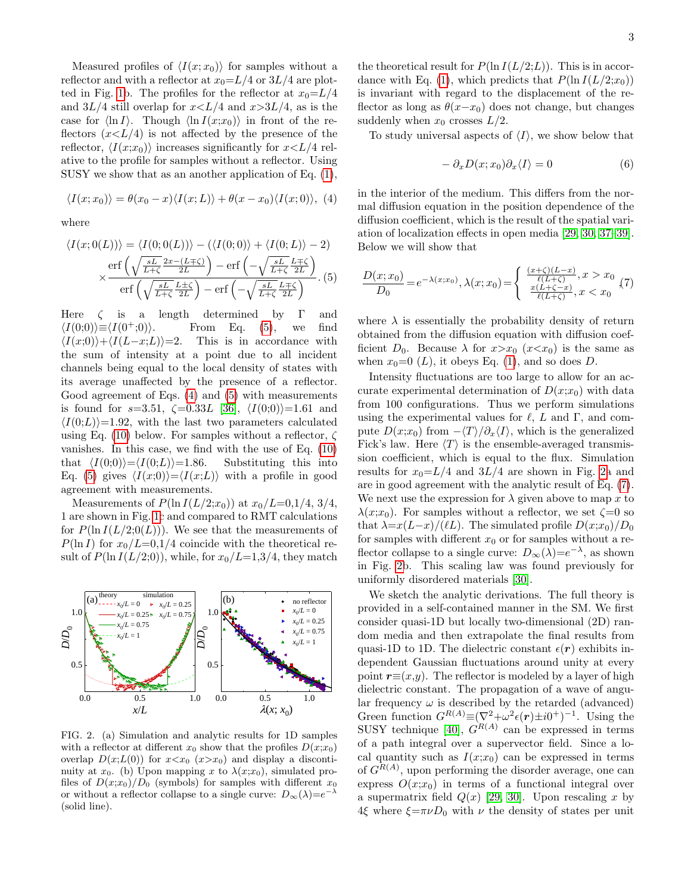Measured profiles of  $\langle I(x; x_0) \rangle$  for samples without a reflector and with a reflector at  $x_0 = L/4$  or  $3L/4$  are plot-ted in Fig. [1b](#page-1-0). The profiles for the reflector at  $x_0 = L/4$ and  $3L/4$  still overlap for  $x < L/4$  and  $x > 3L/4$ , as is the case for  $\langle \ln I \rangle$ . Though  $\langle \ln I(x;x_0) \rangle$  in front of the reflectors  $(x\leq L/4)$  is not affected by the presence of the reflector,  $\langle I(x;x_0)\rangle$  increases significantly for  $x\leq L/4$  relative to the profile for samples without a reflector. Using SUSY we show that as an another application of Eq. [\(1\)](#page-0-0),

<span id="page-2-1"></span>
$$
\langle I(x;x_0)\rangle = \theta(x_0-x)\langle I(x;L)\rangle + \theta(x-x_0)\langle I(x;0)\rangle, (4)
$$

where

<span id="page-2-0"></span>
$$
\langle I(x;0(L)) \rangle = \langle I(0;0(L)) \rangle - (\langle I(0;0) \rangle + \langle I(0;L) \rangle - 2)
$$

$$
\propto \frac{\text{erf}\left(\sqrt{\frac{sL}{L+\zeta}} \frac{2x - (L+\zeta)}{2L}\right) - \text{erf}\left(-\sqrt{\frac{sL}{L+\zeta}} \frac{L+\zeta}{2L}\right)}{\text{erf}\left(\sqrt{\frac{sL}{L+\zeta}} \frac{L+\zeta}{2L}\right) - \text{erf}\left(-\sqrt{\frac{sL}{L+\zeta}} \frac{L+\zeta}{2L}\right)}.
$$
(5)

Here  $\zeta$  is a length determined by  $\Gamma$  and  $\langle I(0;0)\rangle \equiv \langle I(0^+;0)\rangle$ . From Eq. [\(5\)](#page-2-0), we find  $\langle I(x;0)\rangle + \langle I(L-x;L)\rangle = 2$ . This is in accordance with the sum of intensity at a point due to all incident channels being equal to the local density of states with its average unaffected by the presence of a reflector. Good agreement of Eqs. [\(4\)](#page-2-1) and [\(5\)](#page-2-0) with measurements is found for  $s=3.51$ ,  $\zeta=0.33L$  [\[36\]](#page-5-10),  $\langle I(0;0)\rangle=1.61$  and  $\langle I(0;L)\rangle$ =1.92, with the last two parameters calculated using Eq. [\(10\)](#page-3-0) below. For samples without a reflector,  $\zeta$ vanishes. In this case, we find with the use of Eq. [\(10\)](#page-3-0) that  $\langle I(0;0)\rangle = \langle I(0;L)\rangle = 1.86$ . Substituting this into Eq. [\(5\)](#page-2-0) gives  $\langle I(x;0)\rangle = \langle I(x;L)\rangle$  with a profile in good agreement with measurements.

Measurements of  $P(\ln I(L/2; x_0))$  at  $x_0/L=0,1/4, 3/4,$ 1 are shown in Fig. [1c](#page-1-0) and compared to RMT calculations for  $P(\ln I(L/2;0(L)))$ . We see that the measurements of  $P(\ln I)$  for  $x_0/L=0.1/4$  coincide with the theoretical result of  $P(\ln I(L/2,0))$ , while, for  $x_0/L=1,3/4$ , they match



<span id="page-2-2"></span>FIG. 2. (a) Simulation and analytic results for 1D samples with a reflector at different  $x_0$  show that the profiles  $D(x; x_0)$ overlap  $D(x;L(0))$  for  $x \lt x_0$   $(x \gt x_0)$  and display a discontinuity at  $x_0$ . (b) Upon mapping x to  $\lambda(x; x_0)$ , simulated profiles of  $D(x;x_0)/D_0$  (symbols) for samples with different  $x_0$ or without a reflector collapse to a single curve:  $D_{\infty}(\lambda) = e^{-\lambda}$ (solid line).

the theoretical result for  $P(\ln I(L/2;L))$ . This is in accor-dance with Eq. [\(1\)](#page-0-0), which predicts that  $P(\ln I(L/2; x_0))$ is invariant with regard to the displacement of the reflector as long as  $\theta(x-x_0)$  does not change, but changes suddenly when  $x_0$  crosses  $L/2$ .

To study universal aspects of  $\langle I \rangle$ , we show below that

<span id="page-2-4"></span>
$$
- \partial_x D(x; x_0) \partial_x \langle I \rangle = 0 \tag{6}
$$

in the interior of the medium. This differs from the normal diffusion equation in the position dependence of the diffusion coefficient, which is the result of the spatial variation of localization effects in open media [\[29,](#page-5-4) [30,](#page-5-5) [37–](#page-5-11)[39\]](#page-5-12). Below we will show that

<span id="page-2-3"></span>
$$
\frac{D(x; x_0)}{D_0} = e^{-\lambda(x; x_0)}, \lambda(x; x_0) = \begin{cases} \frac{(x+\zeta)(L-x)}{\ell(L+\zeta)}, x > x_0\\ \frac{x(L+\zeta-x)}{\ell(L+\zeta)}, x < x_0 \end{cases} (7)
$$

where  $\lambda$  is essentially the probability density of return obtained from the diffusion equation with diffusion coefficient  $D_0$ . Because  $\lambda$  for  $x > x_0$   $(x < x_0)$  is the same as when  $x_0=0$  (L), it obeys Eq. [\(1\)](#page-0-0), and so does D.

Intensity fluctuations are too large to allow for an accurate experimental determination of  $D(x;x_0)$  with data from 100 configurations. Thus we perform simulations using the experimental values for  $\ell$ , L and  $\Gamma$ , and compute  $D(x;x_0)$  from  $-\langle T\rangle/\partial_x\langle I\rangle$ , which is the generalized Fick's law. Here  $\langle T \rangle$  is the ensemble-averaged transmission coefficient, which is equal to the flux. Simulation results for  $x_0 = L/4$  and  $3L/4$  are shown in Fig. [2a](#page-2-2) and are in good agreement with the analytic result of Eq. [\(7\)](#page-2-3). We next use the expression for  $\lambda$  given above to map x to  $\lambda(x; x_0)$ . For samples without a reflector, we set  $\zeta = 0$  so that  $\lambda = x(L-x)/(lL)$ . The simulated profile  $D(x;x_0)/D_0$ for samples with different  $x_0$  or for samples without a reflector collapse to a single curve:  $D_{\infty}(\lambda) = e^{-\lambda}$ , as shown in Fig. [2b](#page-2-2). This scaling law was found previously for uniformly disordered materials [\[30\]](#page-5-5).

We sketch the analytic derivations. The full theory is provided in a self-contained manner in the SM. We first consider quasi-1D but locally two-dimensional (2D) random media and then extrapolate the final results from quasi-1D to 1D. The dielectric constant  $\epsilon(\mathbf{r})$  exhibits independent Gaussian fluctuations around unity at every point  $r\equiv(x,y)$ . The reflector is modeled by a layer of high dielectric constant. The propagation of a wave of angular frequency  $\omega$  is described by the retarded (advanced) Green function  $G^{R(A)} \equiv (\nabla^2 + \omega^2 \epsilon(\mathbf{r}) \pm i0^+)^{-1}$ . Using the SUSY technique [\[40\]](#page-5-13),  $G^{R(A)}$  can be expressed in terms of a path integral over a supervector field. Since a local quantity such as  $I(x;x_0)$  can be expressed in terms of  $G^{R(A)}$ , upon performing the disorder average, one can express  $O(x; x_0)$  in terms of a functional integral over a supermatrix field  $Q(x)$  [\[29,](#page-5-4) [30\]](#page-5-5). Upon rescaling x by 4ξ where  $\xi = \pi \nu D_0$  with  $\nu$  the density of states per unit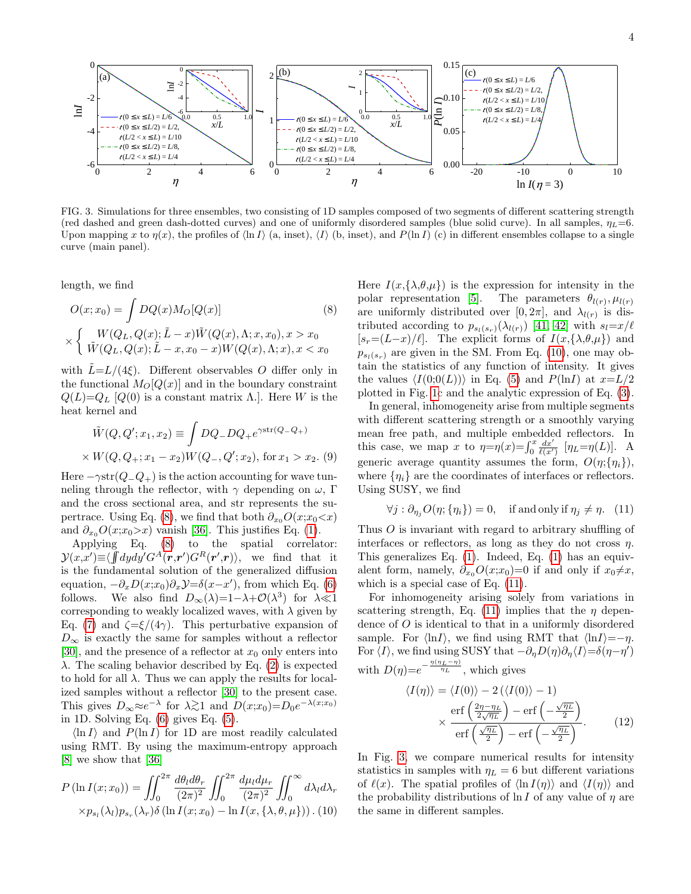

<span id="page-3-3"></span>FIG. 3. Simulations for three ensembles, two consisting of 1D samples composed of two segments of different scattering strength (red dashed and green dash-dotted curves) and one of uniformly disordered samples (blue solid curve). In all samples,  $\eta_L=6$ . Upon mapping x to  $\eta(x)$ , the profiles of  $\langle \ln I \rangle$  (a, inset),  $\langle I \rangle$  (b, inset), and  $P(\ln I)$  (c) in different ensembles collapse to a single curve (main panel).

length, we find

<span id="page-3-1"></span>
$$
O(x; x_0) = \int DQ(x)M_O[Q(x)]
$$
\n
$$
\times \begin{cases} W(Q_L, Q(x); \tilde{L} - x)\tilde{W}(Q(x), \Lambda; x, x_0), x > x_0 \\ \tilde{W}(Q_L, Q(x); \tilde{L} - x, x_0 - x)W(Q(x), \Lambda; x), x < x_0 \end{cases}
$$
\n(8)

with  $\tilde{L}=L/(4\xi)$ . Different observables O differ only in the functional  $M_O[Q(x)]$  and in the boundary constraint  $Q(L)=Q_L$  [Q(0) is a constant matrix  $\Lambda$ .]. Here W is the heat kernel and

<span id="page-3-4"></span>
$$
\tilde{W}(Q, Q'; x_1, x_2) \equiv \int DQ_- DQ_+ e^{\gamma \text{str}(Q - Q_+)}
$$
\n
$$
\times W(Q, Q_+; x_1 - x_2)W(Q_-, Q'; x_2), \text{ for } x_1 > x_2. (9)
$$

Here  $-\gamma \text{str}(Q_{-}Q_{+})$  is the action accounting for wave tunneling through the reflector, with  $\gamma$  depending on  $\omega$ , Γ and the cross sectional area, and str represents the su-pertrace. Using Eq. [\(8\)](#page-3-1), we find that both  $\partial_{x_0}O(x;x_0\lt x)$ and  $\partial_{x_0}O(x;x_0\rhd x)$  vanish [\[36\]](#page-5-10). This justifies Eq. [\(1\)](#page-0-0).

Applying Eq. [\(8\)](#page-3-1) to the spatial correlator:  $\mathcal{Y}(x,x') \equiv \langle \int d\mu d\mu' G^A(\mathbf{r},\mathbf{r}') G^R(\mathbf{r}',\mathbf{r}) \rangle$ , we find that it is the fundamental solution of the generalized diffusion equation,  $-\partial_x D(x;x_0)\partial_x \mathcal{Y} = \delta(x-x')$ , from which Eq. [\(6\)](#page-2-4) follows. We also find  $D_{\infty}(\lambda)=1-\lambda+\mathcal{O}(\lambda^3)$  for  $\lambda\ll 1$ corresponding to weakly localized waves, with  $\lambda$  given by Eq. [\(7\)](#page-2-3) and  $\zeta = \xi/(4\gamma)$ . This perturbative expansion of  $D_{\infty}$  is exactly the same for samples without a reflector [\[30\]](#page-5-5), and the presence of a reflector at  $x_0$  only enters into  $\lambda$ . The scaling behavior described by Eq. [\(2\)](#page-1-2) is expected to hold for all  $\lambda$ . Thus we can apply the results for localized samples without a reflector [\[30\]](#page-5-5) to the present case. This gives  $D_{\infty} \approx e^{-\lambda}$  for  $\lambda \gtrsim 1$  and  $D(x; x_0) = D_0 e^{-\lambda(x; x_0)}$ in 1D. Solving Eq. [\(6\)](#page-2-4) gives Eq. [\(5\)](#page-2-0).

 $\ln I$  and  $P(\ln I)$  for 1D are most readily calculated using RMT. By using the maximum-entropy approach [\[8\]](#page-4-1) we show that [\[36\]](#page-5-10)

<span id="page-3-0"></span>
$$
P\left(\ln I(x;x_0)\right) = \iint_0^{2\pi} \frac{d\theta_l d\theta_r}{(2\pi)^2} \iint_0^{2\pi} \frac{d\mu_l d\mu_r}{(2\pi)^2} \iint_0^{\infty} d\lambda_l d\lambda_r
$$

$$
\times p_{s_l}(\lambda_l) p_{s_r}(\lambda_r) \delta\left(\ln I(x;x_0) - \ln I(x,\{\lambda,\theta,\mu\})\right). (10)
$$

Here  $I(x,\{\lambda,\theta,\mu\})$  is the expression for intensity in the polar representation [\[5\]](#page-4-13). The parameters  $\theta_{l(r)}, \mu_{l(r)}$ are uniformly distributed over  $[0, 2\pi]$ , and  $\lambda_{l(r)}$  is distributed according to  $p_{s_l(s_r)}(\lambda_{l(r)})$  [\[41,](#page-5-14) [42\]](#page-5-15) with  $s_l = x/\ell$  $[s_r=(L-x)/\ell]$ . The explicit forms of  $I(x,\{\lambda,\theta,\mu\})$  and  $p_{s_l(s_r)}$  are given in the SM. From Eq. [\(10\)](#page-3-0), one may obtain the statistics of any function of intensity. It gives the values  $\langle I(0;0(L)) \rangle$  in Eq. [\(5\)](#page-2-0) and P(lnI) at  $x=L/2$ plotted in Fig. [1c](#page-1-0) and the analytic expression of Eq. [\(3\)](#page-1-1).

In general, inhomogeneity arise from multiple segments with different scattering strength or a smoothly varying mean free path, and multiple embedded reflectors. In this case, we map x to  $\eta = \eta(x) = \int_0^x \frac{dx'}{\ell(x')}$   $[\eta_L = \eta(L)]$ . A generic average quantity assumes the form,  $O(\eta;\{\eta_i\})$ , where  $\{\eta_i\}$  are the coordinates of interfaces or reflectors. Using SUSY, we find

<span id="page-3-2"></span>
$$
\forall j : \partial_{\eta_j} O(\eta; \{\eta_i\}) = 0, \quad \text{if and only if } \eta_j \neq \eta. \tag{11}
$$

Thus O is invariant with regard to arbitrary shuffling of interfaces or reflectors, as long as they do not cross  $\eta$ . This generalizes Eq. [\(1\)](#page-0-0). Indeed, Eq. [\(1\)](#page-0-0) has an equivalent form, namely,  $\partial_{x_0}O(x;x_0)=0$  if and only if  $x_0\neq x$ , which is a special case of Eq. [\(11\)](#page-3-2).

For inhomogeneity arising solely from variations in scattering strength, Eq. [\(11\)](#page-3-2) implies that the  $\eta$  dependence of O is identical to that in a uniformly disordered sample. For  $\langle \ln I \rangle$ , we find using RMT that  $\langle \ln I \rangle = -\eta$ . For  $\langle I \rangle$ , we find using SUSY that  $-\partial_{\eta}D(\eta)\partial_{\eta}\langle I \rangle = \delta(\eta - \eta')$ with  $D(\eta) = e^{-\frac{\eta(\eta_L - \eta)}{\eta_L}}$ , which gives

<span id="page-3-5"></span>
$$
\langle I(\eta) \rangle = \langle I(0) \rangle - 2 (\langle I(0) \rangle - 1)
$$

$$
\times \frac{\text{erf}\left(\frac{2\eta - \eta_L}{2\sqrt{\eta_L}}\right) - \text{erf}\left(-\frac{\sqrt{\eta_L}}{2}\right)}{\text{erf}\left(\frac{\sqrt{\eta_L}}{2}\right) - \text{erf}\left(-\frac{\sqrt{\eta_L}}{2}\right)}.
$$
(12)

In Fig. [3,](#page-3-3) we compare numerical results for intensity statistics in samples with  $\eta_L = 6$  but different variations of  $\ell(x)$ . The spatial profiles of  $\langle \ln I(\eta) \rangle$  and  $\langle I(\eta) \rangle$  and the probability distributions of  $\ln I$  of any value of  $\eta$  are the same in different samples.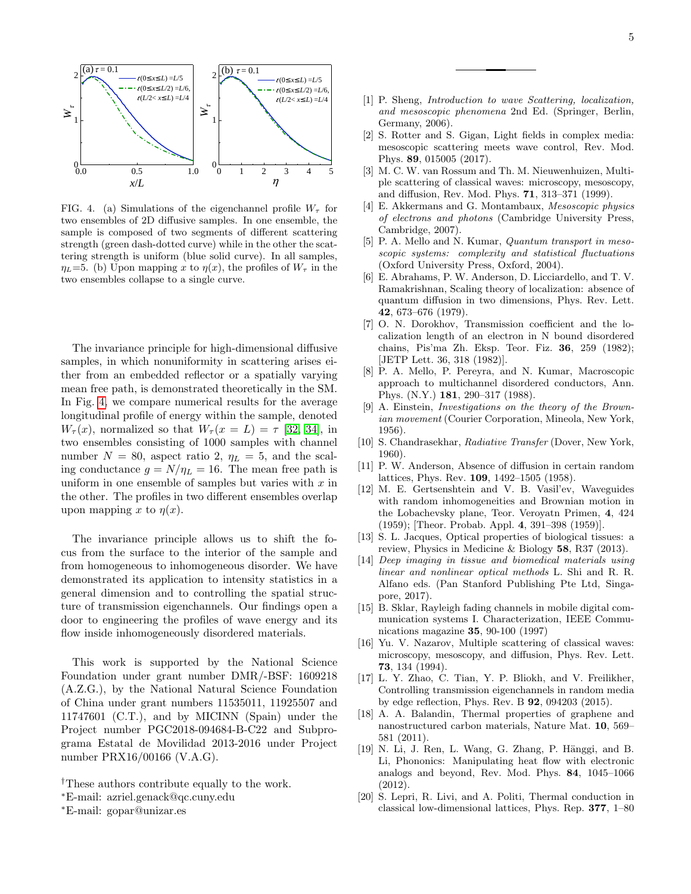

<span id="page-4-15"></span>FIG. 4. (a) Simulations of the eigenchannel profile  $W_{\tau}$  for two ensembles of 2D diffusive samples. In one ensemble, the sample is composed of two segments of different scattering strength (green dash-dotted curve) while in the other the scattering strength is uniform (blue solid curve). In all samples,  $\eta_L$ =5. (b) Upon mapping x to  $\eta(x)$ , the profiles of  $W_\tau$  in the two ensembles collapse to a single curve.

The invariance principle for high-dimensional diffusive samples, in which nonuniformity in scattering arises either from an embedded reflector or a spatially varying mean free path, is demonstrated theoretically in the SM. In Fig. [4,](#page-4-15) we compare numerical results for the average longitudinal profile of energy within the sample, denoted  $W_{\tau}(x)$ , normalized so that  $W_{\tau}(x=L) = \tau$  [\[32,](#page-5-16) [34\]](#page-5-17), in two ensembles consisting of 1000 samples with channel number  $N = 80$ , aspect ratio 2,  $\eta_L = 5$ , and the scaling conductance  $g = N/\eta_L = 16$ . The mean free path is uniform in one ensemble of samples but varies with  $x$  in the other. The profiles in two different ensembles overlap upon mapping x to  $\eta(x)$ .

<span id="page-4-7"></span><span id="page-4-6"></span><span id="page-4-5"></span><span id="page-4-4"></span>The invariance principle allows us to shift the focus from the surface to the interior of the sample and from homogeneous to inhomogeneous disorder. We have demonstrated its application to intensity statistics in a general dimension and to controlling the spatial structure of transmission eigenchannels. Our findings open a door to engineering the profiles of wave energy and its flow inside inhomogeneously disordered materials.

<span id="page-4-11"></span><span id="page-4-10"></span><span id="page-4-9"></span><span id="page-4-8"></span>This work is supported by the National Science Foundation under grant number DMR/-BSF: 1609218 (A.Z.G.), by the National Natural Science Foundation of China under grant numbers 11535011, 11925507 and 11747601 (C.T.), and by MICINN (Spain) under the Project number PGC2018-094684-B-C22 and Subprograma Estatal de Movilidad 2013-2016 under Project number PRX16/00166 (V.A.G).

- †These authors contribute equally to the work.
- <span id="page-4-12"></span><sup>∗</sup>E-mail: azriel.genack@qc.cuny.edu
- <sup>∗</sup>E-mail: gopar@unizar.es
- <span id="page-4-14"></span><span id="page-4-13"></span><span id="page-4-2"></span><span id="page-4-1"></span><span id="page-4-0"></span>[2] S. Rotter and S. Gigan, Light fields in complex media: mesoscopic scattering meets wave control, Rev. Mod. Phys. 89, 015005 (2017).
- <span id="page-4-3"></span>0 1 2 3 4 5 [3] M. C. W. van Rossum and Th. M. Nieuwenhuizen, Multiple scattering of classical waves: microscopy, mesoscopy, and diffusion, Rev. Mod. Phys. 71, 313–371 (1999).
	- [4] E. Akkermans and G. Montambaux, Mesoscopic physics of electrons and photons (Cambridge University Press, Cambridge, 2007).
	- [5] P. A. Mello and N. Kumar, *Quantum transport in meso*scopic systems: complexity and statistical fluctuations (Oxford University Press, Oxford, 2004).
	- [6] E. Abrahams, P. W. Anderson, D. Licciardello, and T. V. Ramakrishnan, Scaling theory of localization: absence of quantum diffusion in two dimensions, Phys. Rev. Lett. 42, 673–676 (1979).
	- [7] O. N. Dorokhov, Transmission coefficient and the localization length of an electron in N bound disordered chains, Pis'ma Zh. Eksp. Teor. Fiz. 36, 259 (1982); [JETP Lett. 36, 318 (1982)].
	- [8] P. A. Mello, P. Pereyra, and N. Kumar, Macroscopic approach to multichannel disordered conductors, Ann. Phys. (N.Y.) 181, 290–317 (1988).
	- [9] A. Einstein, Investigations on the theory of the Brownian movement (Courier Corporation, Mineola, New York, 1956).
	- [10] S. Chandrasekhar, Radiative Transfer (Dover, New York, 1960).
	- [11] P. W. Anderson, Absence of diffusion in certain random lattices, Phys. Rev. 109, 1492–1505 (1958).
	- [12] M. E. Gertsenshtein and V. B. Vasil'ev, Waveguides with random inhomogeneities and Brownian motion in the Lobachevsky plane, Teor. Veroyatn Primen, 4, 424 (1959); [Theor. Probab. Appl. 4, 391–398 (1959)].
	- [13] S. L. Jacques, Optical properties of biological tissues: a review, Physics in Medicine & Biology 58, R37 (2013).
	- [14] Deep imaging in tissue and biomedical materials using linear and nonlinear optical methods L. Shi and R. R. Alfano eds. (Pan Stanford Publishing Pte Ltd, Singapore, 2017).
	- [15] B. Sklar, Rayleigh fading channels in mobile digital communication systems I. Characterization, IEEE Communications magazine 35, 90-100 (1997)
	- [16] Yu. V. Nazarov, Multiple scattering of classical waves: microscopy, mesoscopy, and diffusion, Phys. Rev. Lett. 73, 134 (1994).
	- [17] L. Y. Zhao, C. Tian, Y. P. Bliokh, and V. Freilikher, Controlling transmission eigenchannels in random media by edge reflection, Phys. Rev. B 92, 094203 (2015).
	- [18] A. A. Balandin, Thermal properties of graphene and nanostructured carbon materials, Nature Mat. 10, 569– 581 (2011).
	- [19] N. Li, J. Ren, L. Wang, G. Zhang, P. Hänggi, and B. Li, Phononics: Manipulating heat flow with electronic analogs and beyond, Rev. Mod. Phys. 84, 1045–1066 (2012).
	- [20] S. Lepri, R. Livi, and A. Politi, Thermal conduction in classical low-dimensional lattices, Phys. Rep. 377, 1–80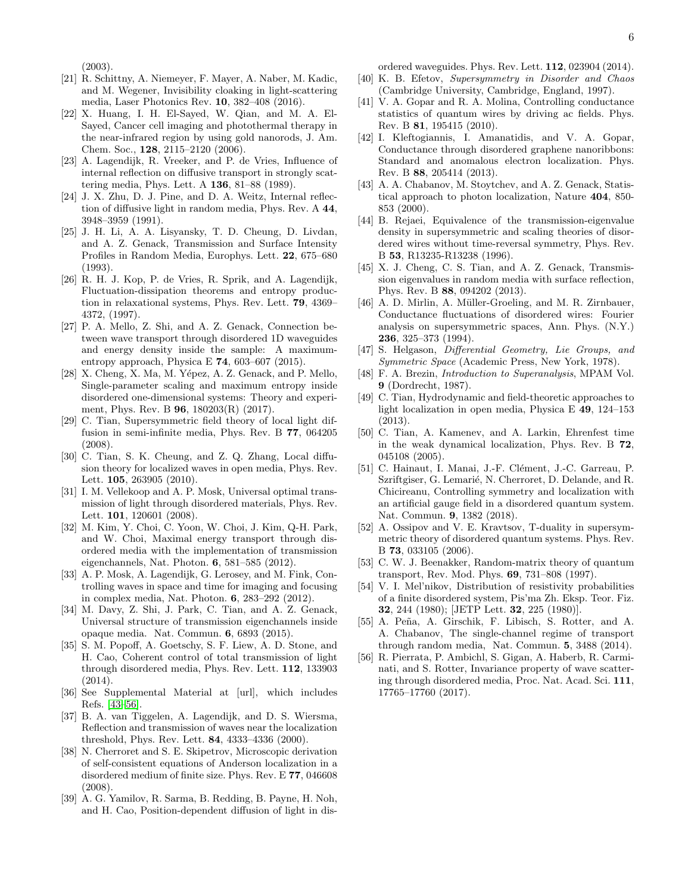(2003).

- <span id="page-5-0"></span>[21] R. Schittny, A. Niemeyer, F. Mayer, A. Naber, M. Kadic, and M. Wegener, Invisibility cloaking in light-scattering media, Laser Photonics Rev. 10, 382–408 (2016).
- <span id="page-5-1"></span>[22] X. Huang, I. H. El-Sayed, W. Qian, and M. A. El-Sayed, Cancer cell imaging and photothermal therapy in the near-infrared region by using gold nanorods, J. Am. Chem. Soc., 128, 2115–2120 (2006).
- <span id="page-5-8"></span>[23] A. Lagendijk, R. Vreeker, and P. de Vries, Influence of internal reflection on diffusive transport in strongly scattering media, Phys. Lett. A 136, 81–88 (1989).
- [24] J. X. Zhu, D. J. Pine, and D. A. Weitz, Internal reflection of diffusive light in random media, Phys. Rev. A 44, 3948–3959 (1991).
- [25] J. H. Li, A. A. Lisyansky, T. D. Cheung, D. Livdan, and A. Z. Genack, Transmission and Surface Intensity Profiles in Random Media, Europhys. Lett. 22, 675–680 (1993).
- <span id="page-5-9"></span>[26] R. H. J. Kop, P. de Vries, R. Sprik, and A. Lagendijk, Fluctuation-dissipation theorems and entropy production in relaxational systems, Phys. Rev. Lett. 79, 4369– 4372, (1997).
- <span id="page-5-2"></span>[27] P. A. Mello, Z. Shi, and A. Z. Genack, Connection between wave transport through disordered 1D waveguides and energy density inside the sample: A maximumentropy approach, Physica E 74, 603–607 (2015).
- <span id="page-5-3"></span>[28] X. Cheng, X. Ma, M. Yépez, A. Z. Genack, and P. Mello, Single-parameter scaling and maximum entropy inside disordered one-dimensional systems: Theory and experiment, Phys. Rev. B 96, 180203(R) (2017).
- <span id="page-5-4"></span>[29] C. Tian, Supersymmetric field theory of local light diffusion in semi-infinite media, Phys. Rev. B 77, 064205  $(2008)$ .
- <span id="page-5-5"></span>[30] C. Tian, S. K. Cheung, and Z. Q. Zhang, Local diffusion theory for localized waves in open media, Phys. Rev. Lett. 105, 263905 (2010).
- <span id="page-5-6"></span>[31] I. M. Vellekoop and A. P. Mosk, Universal optimal transmission of light through disordered materials, Phys. Rev. Lett. **101**, 120601 (2008).
- <span id="page-5-16"></span>[32] M. Kim, Y. Choi, C. Yoon, W. Choi, J. Kim, Q-H. Park, and W. Choi, Maximal energy transport through disordered media with the implementation of transmission eigenchannels, Nat. Photon. 6, 581–585 (2012).
- [33] A. P. Mosk, A. Lagendijk, G. Lerosey, and M. Fink, Controlling waves in space and time for imaging and focusing in complex media, Nat. Photon. 6, 283–292 (2012).
- <span id="page-5-17"></span>[34] M. Davy, Z. Shi, J. Park, C. Tian, and A. Z. Genack, Universal structure of transmission eigenchannels inside opaque media. Nat. Commun. 6, 6893 (2015).
- <span id="page-5-7"></span>[35] S. M. Popoff, A. Goetschy, S. F. Liew, A. D. Stone, and H. Cao, Coherent control of total transmission of light through disordered media, Phys. Rev. Lett. 112, 133903 (2014).
- <span id="page-5-10"></span>[36] See Supplemental Material at [url], which includes Refs. [\[43–](#page-5-18)[56\]](#page-5-19).
- <span id="page-5-11"></span>[37] B. A. van Tiggelen, A. Lagendijk, and D. S. Wiersma, Reflection and transmission of waves near the localization threshold, Phys. Rev. Lett. 84, 4333–4336 (2000).
- [38] N. Cherroret and S. E. Skipetrov, Microscopic derivation of self-consistent equations of Anderson localization in a disordered medium of finite size. Phys. Rev. E 77, 046608 (2008).
- <span id="page-5-12"></span>[39] A. G. Yamilov, R. Sarma, B. Redding, B. Payne, H. Noh, and H. Cao, Position-dependent diffusion of light in dis-

ordered waveguides. Phys. Rev. Lett. 112, 023904 (2014).

- <span id="page-5-13"></span>[40] K. B. Efetov, Supersymmetry in Disorder and Chaos (Cambridge University, Cambridge, England, 1997).
- <span id="page-5-14"></span>[41] V. A. Gopar and R. A. Molina, Controlling conductance statistics of quantum wires by driving ac fields. Phys. Rev. B 81, 195415 (2010).
- <span id="page-5-15"></span>[42] I. Kleftogiannis, I. Amanatidis, and V. A. Gopar, Conductance through disordered graphene nanoribbons: Standard and anomalous electron localization. Phys. Rev. B 88, 205414 (2013).
- <span id="page-5-18"></span>[43] A. A. Chabanov, M. Stoytchev, and A. Z. Genack, Statistical approach to photon localization, Nature 404, 850- 853 (2000).
- <span id="page-5-20"></span>[44] B. Rejaei, Equivalence of the transmission-eigenvalue density in supersymmetric and scaling theories of disordered wires without time-reversal symmetry, Phys. Rev. B 53, R13235-R13238 (1996).
- <span id="page-5-21"></span>[45] X. J. Cheng, C. S. Tian, and A. Z. Genack, Transmission eigenvalues in random media with surface reflection, Phys. Rev. B 88, 094202 (2013).
- <span id="page-5-22"></span>[46] A. D. Mirlin, A. Müller-Groeling, and M. R. Zirnbauer, Conductance fluctuations of disordered wires: Fourier analysis on supersymmetric spaces, Ann. Phys. (N.Y.) 236, 325–373 (1994).
- <span id="page-5-23"></span>[47] S. Helgason, Differential Geometry, Lie Groups, and Symmetric Space (Academic Press, New York, 1978).
- <span id="page-5-24"></span>[48] F. A. Brezin, *Introduction to Superanalysis*, MPAM Vol. 9 (Dordrecht, 1987).
- <span id="page-5-25"></span>[49] C. Tian, Hydrodynamic and field-theoretic approaches to light localization in open media, Physica E 49, 124–153 (2013).
- [50] C. Tian, A. Kamenev, and A. Larkin, Ehrenfest time in the weak dynamical localization, Phys. Rev. B 72, 045108 (2005).
- <span id="page-5-26"></span>[51] C. Hainaut, I. Manai, J.-F. Clément, J.-C. Garreau, P. Szriftgiser, G. Lemarié, N. Cherroret, D. Delande, and R. Chicireanu, Controlling symmetry and localization with an artificial gauge field in a disordered quantum system. Nat. Commun. 9, 1382 (2018).
- <span id="page-5-27"></span>[52] A. Ossipov and V. E. Kravtsov, T-duality in supersymmetric theory of disordered quantum systems. Phys. Rev. B 73, 033105 (2006).
- <span id="page-5-28"></span>[53] C. W. J. Beenakker, Random-matrix theory of quantum transport, Rev. Mod. Phys. 69, 731–808 (1997).
- <span id="page-5-29"></span>[54] V. I. Mel'nikov, Distribution of resistivity probabilities of a finite disordered system, Pis'ma Zh. Eksp. Teor. Fiz. 32, 244 (1980); [JETP Lett. 32, 225 (1980)].
- <span id="page-5-30"></span>[55] A. Peña, A. Girschik, F. Libisch, S. Rotter, and A. A. Chabanov, The single-channel regime of transport through random media, Nat. Commun. 5, 3488 (2014).
- <span id="page-5-19"></span>[56] R. Pierrata, P. Ambichl, S. Gigan, A. Haberb, R. Carminati, and S. Rotter, Invariance property of wave scattering through disordered media, Proc. Nat. Acad. Sci. 111, 17765–17760 (2017).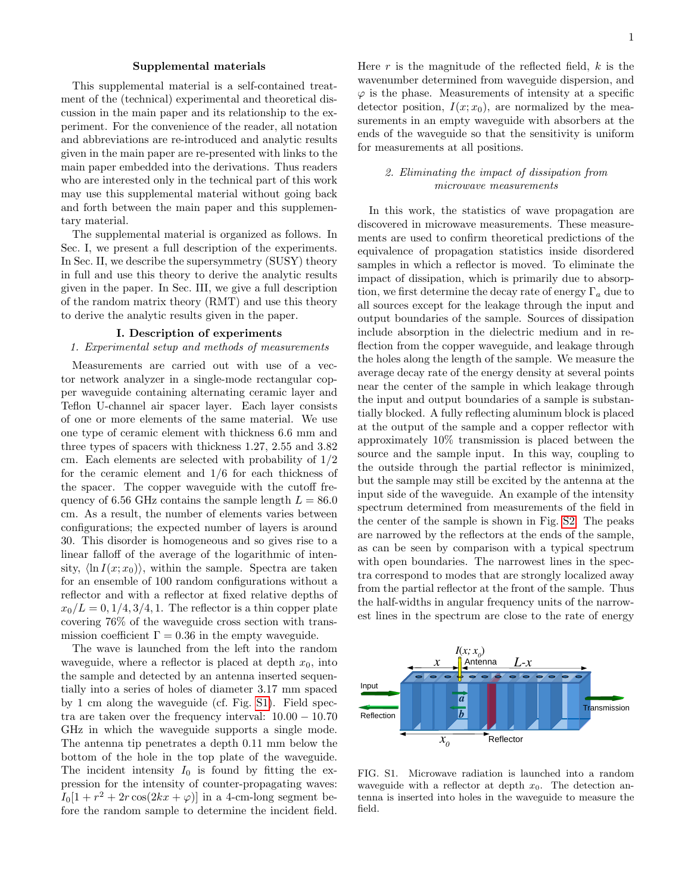#### Supplemental materials

This supplemental material is a self-contained treatment of the (technical) experimental and theoretical discussion in the main paper and its relationship to the experiment. For the convenience of the reader, all notation and abbreviations are re-introduced and analytic results given in the main paper are re-presented with links to the main paper embedded into the derivations. Thus readers who are interested only in the technical part of this work may use this supplemental material without going back and forth between the main paper and this supplementary material.

The supplemental material is organized as follows. In Sec. I, we present a full description of the experiments. In Sec. II, we describe the supersymmetry (SUSY) theory in full and use this theory to derive the analytic results given in the paper. In Sec. III, we give a full description of the random matrix theory (RMT) and use this theory to derive the analytic results given in the paper.

#### I. Description of experiments

#### 1. Experimental setup and methods of measurements

Measurements are carried out with use of a vector network analyzer in a single-mode rectangular copper waveguide containing alternating ceramic layer and Teflon U-channel air spacer layer. Each layer consists of one or more elements of the same material. We use one type of ceramic element with thickness 6.6 mm and three types of spacers with thickness 1.27, 2.55 and 3.82 cm. Each elements are selected with probability of 1/2 for the ceramic element and 1/6 for each thickness of the spacer. The copper waveguide with the cutoff frequency of 6.56 GHz contains the sample length  $L = 86.0$ cm. As a result, the number of elements varies between configurations; the expected number of layers is around 30. This disorder is homogeneous and so gives rise to a linear falloff of the average of the logarithmic of intensity,  $\langle \ln I(x; x_0) \rangle$ , within the sample. Spectra are taken for an ensemble of 100 random configurations without a reflector and with a reflector at fixed relative depths of  $x_0/L = 0, 1/4, 3/4, 1$ . The reflector is a thin copper plate covering 76% of the waveguide cross section with transmission coefficient  $\Gamma = 0.36$  in the empty waveguide.

The wave is launched from the left into the random waveguide, where a reflector is placed at depth  $x_0$ , into the sample and detected by an antenna inserted sequentially into a series of holes of diameter 3.17 mm spaced by 1 cm along the waveguide (cf. Fig. [S1\)](#page-1-0). Field spectra are taken over the frequency interval: 10.00 − 10.70 GHz in which the waveguide supports a single mode. The antenna tip penetrates a depth 0.11 mm below the bottom of the hole in the top plate of the waveguide. The incident intensity  $I_0$  is found by fitting the expression for the intensity of counter-propagating waves:  $I_0[1 + r^2 + 2r\cos(2kx + \varphi)]$  in a 4-cm-long segment before the random sample to determine the incident field.

Here  $r$  is the magnitude of the reflected field,  $k$  is the wavenumber determined from waveguide dispersion, and  $\varphi$  is the phase. Measurements of intensity at a specific detector position,  $I(x; x_0)$ , are normalized by the measurements in an empty waveguide with absorbers at the ends of the waveguide so that the sensitivity is uniform for measurements at all positions.

# 2. Eliminating the impact of dissipation from microwave measurements

In this work, the statistics of wave propagation are discovered in microwave measurements. These measurements are used to confirm theoretical predictions of the equivalence of propagation statistics inside disordered samples in which a reflector is moved. To eliminate the impact of dissipation, which is primarily due to absorption, we first determine the decay rate of energy  $\Gamma_a$  due to all sources except for the leakage through the input and output boundaries of the sample. Sources of dissipation include absorption in the dielectric medium and in reflection from the copper waveguide, and leakage through the holes along the length of the sample. We measure the average decay rate of the energy density at several points near the center of the sample in which leakage through the input and output boundaries of a sample is substantially blocked. A fully reflecting aluminum block is placed at the output of the sample and a copper reflector with approximately 10% transmission is placed between the source and the sample input. In this way, coupling to the outside through the partial reflector is minimized, but the sample may still be excited by the antenna at the input side of the waveguide. An example of the intensity spectrum determined from measurements of the field in the center of the sample is shown in Fig. [S2.](#page-2-2) The peaks are narrowed by the reflectors at the ends of the sample, as can be seen by comparison with a typical spectrum with open boundaries. The narrowest lines in the spectra correspond to modes that are strongly localized away from the partial reflector at the front of the sample. Thus the half-widths in angular frequency units of the narrowest lines in the spectrum are close to the rate of energy



FIG. S1. Microwave radiation is launched into a random waveguide with a reflector at depth  $x_0$ . The detection antenna is inserted into holes in the waveguide to measure the field.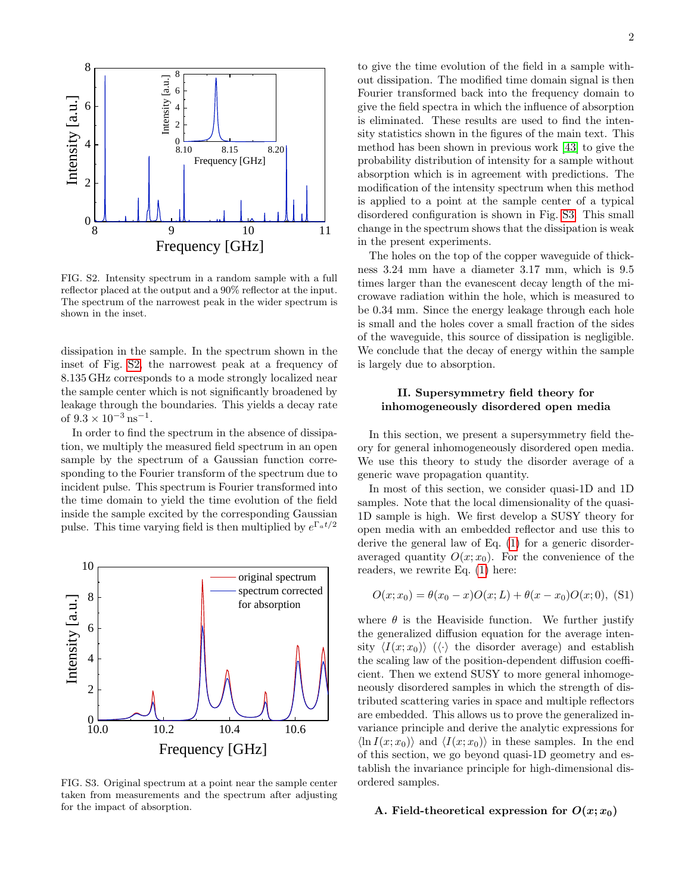

FIG. S2. Intensity spectrum in a random sample with a full reflector placed at the output and a 90% reflector at the input. The spectrum of the narrowest peak in the wider spectrum is shown in the inset.

dissipation in the sample. In the spectrum shown in the inset of Fig. [S2,](#page-2-2) the narrowest peak at a frequency of 8.135 GHz corresponds to a mode strongly localized near the sample center which is not significantly broadened by leakage through the boundaries. This yields a decay rate of  $9.3 \times 10^{-3}$  ns<sup>-1</sup>.

In order to find the spectrum in the absence of dissipation, we multiply the measured field spectrum in an open sample by the spectrum of a Gaussian function corresponding to the Fourier transform of the spectrum due to incident pulse. This spectrum is Fourier transformed into the time domain to yield the time evolution of the field inside the sample excited by the corresponding Gaussian pulse. This time varying field is then multiplied by  $e^{\Gamma_a t/2}$ 



FIG. S3. Original spectrum at a point near the sample center taken from measurements and the spectrum after adjusting for the impact of absorption.

to give the time evolution of the field in a sample without dissipation. The modified time domain signal is then Fourier transformed back into the frequency domain to give the field spectra in which the influence of absorption is eliminated. These results are used to find the intensity statistics shown in the figures of the main text. This method has been shown in previous work [\[43\]](#page-5-18) to give the probability distribution of intensity for a sample without absorption which is in agreement with predictions. The modification of the intensity spectrum when this method is applied to a point at the sample center of a typical disordered configuration is shown in Fig. [S3.](#page-3-3) This small change in the spectrum shows that the dissipation is weak in the present experiments.

The holes on the top of the copper waveguide of thickness 3.24 mm have a diameter 3.17 mm, which is 9.5 times larger than the evanescent decay length of the microwave radiation within the hole, which is measured to be 0.34 mm. Since the energy leakage through each hole is small and the holes cover a small fraction of the sides of the waveguide, this source of dissipation is negligible. We conclude that the decay of energy within the sample is largely due to absorption.

# II. Supersymmetry field theory for inhomogeneously disordered open media

In this section, we present a supersymmetry field theory for general inhomogeneously disordered open media. We use this theory to study the disorder average of a generic wave propagation quantity.

In most of this section, we consider quasi-1D and 1D samples. Note that the local dimensionality of the quasi-1D sample is high. We first develop a SUSY theory for open media with an embedded reflector and use this to derive the general law of Eq. [\(1\)](#page-0-0) for a generic disorderaveraged quantity  $O(x; x_0)$ . For the convenience of the readers, we rewrite Eq. [\(1\)](#page-0-0) here:

$$
O(x; x_0) = \theta(x_0 - x)O(x; L) + \theta(x - x_0)O(x; 0),
$$
 (S1)

where  $\theta$  is the Heaviside function. We further justify the generalized diffusion equation for the average intensity  $\langle I(x; x_0) \rangle$  ( $\langle \cdot \rangle$  the disorder average) and establish the scaling law of the position-dependent diffusion coefficient. Then we extend SUSY to more general inhomogeneously disordered samples in which the strength of distributed scattering varies in space and multiple reflectors are embedded. This allows us to prove the generalized invariance principle and derive the analytic expressions for  $\langle \ln I(x; x_0) \rangle$  and  $\langle I(x; x_0) \rangle$  in these samples. In the end of this section, we go beyond quasi-1D geometry and establish the invariance principle for high-dimensional disordered samples.

## A. Field-theoretical expression for  $O(x; x_0)$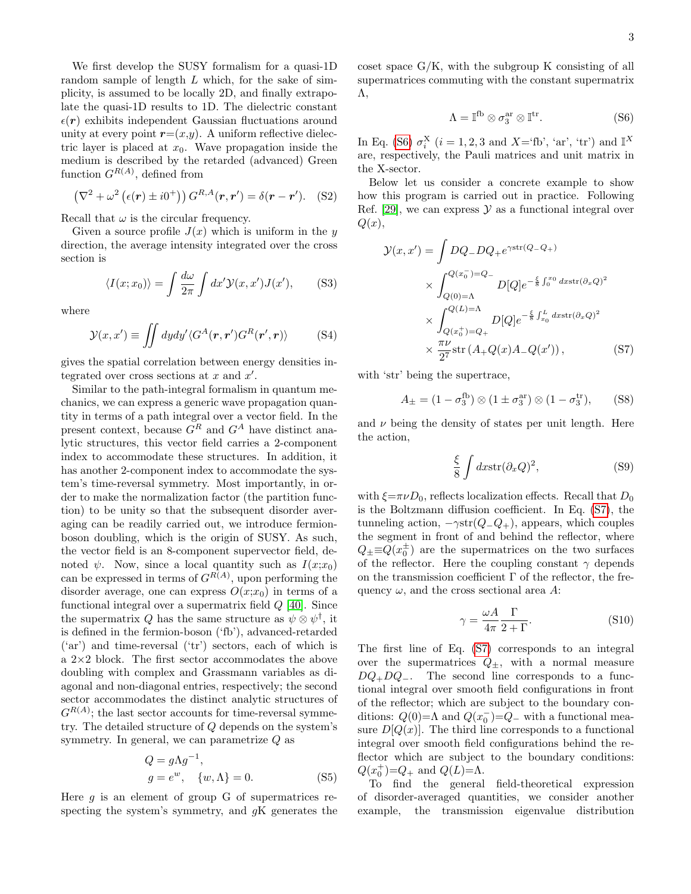We first develop the SUSY formalism for a quasi-1D random sample of length  $L$  which, for the sake of simplicity, is assumed to be locally 2D, and finally extrapolate the quasi-1D results to 1D. The dielectric constant  $\epsilon(\mathbf{r})$  exhibits independent Gaussian fluctuations around unity at every point  $r=(x,y)$ . A uniform reflective dielectric layer is placed at  $x_0$ . Wave propagation inside the medium is described by the retarded (advanced) Green function  $G^{R(A)}$ , defined from

$$
\left(\nabla^2 + \omega^2 \left(\epsilon(\mathbf{r}) \pm i0^+\right)\right) G^{R,A}(\mathbf{r}, \mathbf{r}') = \delta(\mathbf{r} - \mathbf{r}'). \quad (S2)
$$

Recall that  $\omega$  is the circular frequency.

Given a source profile  $J(x)$  which is uniform in the y direction, the average intensity integrated over the cross section is

$$
\langle I(x; x_0) \rangle = \int \frac{d\omega}{2\pi} \int dx' \mathcal{Y}(x, x') J(x'), \quad (S3)
$$

where

$$
\mathcal{Y}(x, x') \equiv \iint dy dy' \langle G^A(\mathbf{r}, \mathbf{r}') G^R(\mathbf{r}', \mathbf{r}) \rangle \tag{S4}
$$

gives the spatial correlation between energy densities integrated over cross sections at  $x$  and  $x'$ .

Similar to the path-integral formalism in quantum mechanics, we can express a generic wave propagation quantity in terms of a path integral over a vector field. In the present context, because  $G<sup>R</sup>$  and  $G<sup>A</sup>$  have distinct analytic structures, this vector field carries a 2-component index to accommodate these structures. In addition, it has another 2-component index to accommodate the system's time-reversal symmetry. Most importantly, in order to make the normalization factor (the partition function) to be unity so that the subsequent disorder averaging can be readily carried out, we introduce fermionboson doubling, which is the origin of SUSY. As such, the vector field is an 8-component supervector field, denoted  $\psi$ . Now, since a local quantity such as  $I(x; x_0)$ can be expressed in terms of  $G^{R(A)}$ , upon performing the disorder average, one can express  $O(x; x_0)$  in terms of a functional integral over a supermatrix field Q [\[40\]](#page-5-13). Since the supermatrix Q has the same structure as  $\psi \otimes \psi^{\dagger}$ , it is defined in the fermion-boson ('fb'), advanced-retarded ('ar') and time-reversal ('tr') sectors, each of which is a 2×2 block. The first sector accommodates the above doubling with complex and Grassmann variables as diagonal and non-diagonal entries, respectively; the second sector accommodates the distinct analytic structures of  $G^{R(A)}$ ; the last sector accounts for time-reversal symmetry. The detailed structure of Q depends on the system's symmetry. In general, we can parametrize  $Q$  as

$$
Q = g\Lambda g^{-1},
$$
  
\n
$$
g = e^w, \quad \{w, \Lambda\} = 0.
$$
 (S5)

Here  $g$  is an element of group G of supermatrices respecting the system's symmetry, and  $qK$  generates the

−1

coset space G/K, with the subgroup K consisting of all supermatrices commuting with the constant supermatrix Λ,

$$
\Lambda = \mathbb{I}^{\text{fb}} \otimes \sigma_3^{\text{ar}} \otimes \mathbb{I}^{\text{tr}}.
$$
 (S6)

In Eq. [\(S6\)](#page-2-4)  $\sigma_i^X$  ( $i = 1, 2, 3$  and  $X = f'$ b', 'ar', 'tr') and  $\mathbb{I}^X$ are, respectively, the Pauli matrices and unit matrix in the X-sector.

Below let us consider a concrete example to show how this program is carried out in practice. Following Ref. [\[29\]](#page-5-4), we can express  $\mathcal Y$  as a functional integral over  $Q(x),$ 

$$
\mathcal{Y}(x, x') = \int DQ - DQ + e^{\gamma \text{str}(Q - Q_+)}
$$

$$
\times \int_{Q(0) = \Lambda}^{Q(x_0^-) = Q_-} D[Q] e^{-\frac{\xi}{8} \int_0^{x_0} dx \text{str}(\partial_x Q)^2}
$$

$$
\times \int_{Q(x_0^+) = Q_+}^{Q(L) = \Lambda} D[Q] e^{-\frac{\xi}{8} \int_{x_0}^L dx \text{str}(\partial_x Q)^2}
$$

$$
\times \frac{\pi \nu}{2^7} \text{str}(A + Q(x)A - Q(x')) , \qquad (S7)
$$

with 'str' being the supertrace,

$$
A_{\pm} = (1 - \sigma_3^{\text{fb}}) \otimes (1 \pm \sigma_3^{\text{ar}}) \otimes (1 - \sigma_3^{\text{tr}}), \quad (S8)
$$

and  $\nu$  being the density of states per unit length. Here the action,

$$
\frac{\xi}{8} \int dx \text{str}(\partial_x Q)^2,
$$
 (S9)

with  $\xi = \pi \nu D_0$ , reflects localization effects. Recall that  $D_0$ is the Boltzmann diffusion coefficient. In Eq. [\(S7\)](#page-2-3), the tunneling action,  $-\gamma str(Q_{-}Q_{+})$ , appears, which couples the segment in front of and behind the reflector, where  $Q_{\pm} \equiv Q(x_0^{\pm})$  are the supermatrices on the two surfaces of the reflector. Here the coupling constant  $\gamma$  depends on the transmission coefficient  $\Gamma$  of the reflector, the frequency  $\omega$ , and the cross sectional area A:

$$
\gamma = \frac{\omega A}{4\pi} \frac{\Gamma}{2 + \Gamma}.
$$
 (S10)

The first line of Eq. [\(S7\)](#page-2-3) corresponds to an integral over the supermatrices  $Q_{\pm}$ , with a normal measure  $DQ_{+}DQ_{-}$ . The second line corresponds to a functional integral over smooth field configurations in front of the reflector; which are subject to the boundary conditions:  $Q(0) = \Lambda$  and  $Q(x_0^-) = Q_-$  with a functional measure  $D[Q(x)]$ . The third line corresponds to a functional integral over smooth field configurations behind the reflector which are subject to the boundary conditions:  $Q(x_0^+) = Q_+$  and  $Q(L) = \Lambda$ .

To find the general field-theoretical expression of disorder-averaged quantities, we consider another example, the transmission eigenvalue distribution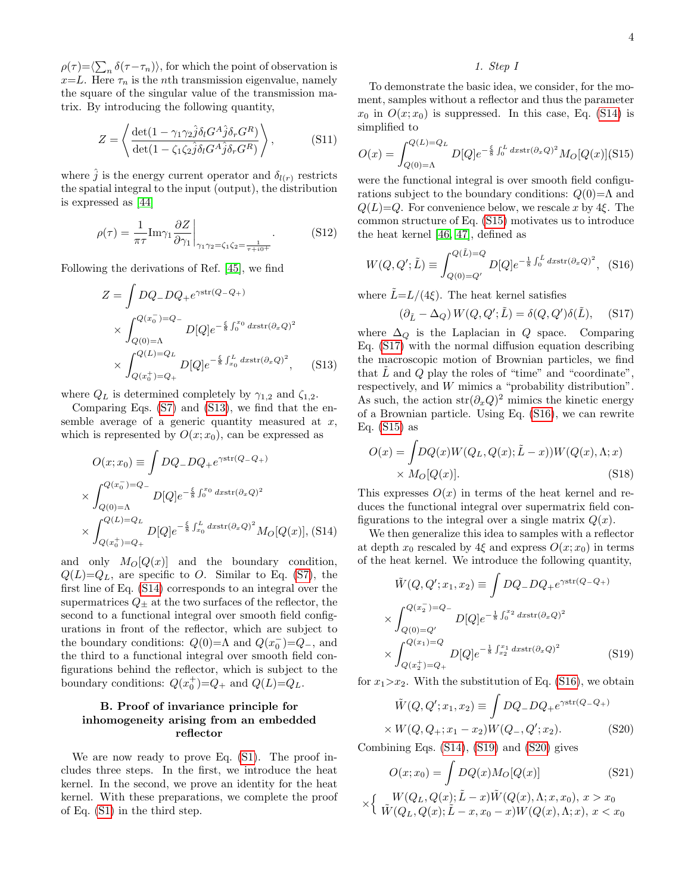$\rho(\tau) = \langle \sum_n \delta(\tau - \tau_n) \rangle$ , for which the point of observation is  $x=L$ . Here  $\tau_n$  is the *n*th transmission eigenvalue, namely the square of the singular value of the transmission matrix. By introducing the following quantity,

$$
Z = \left\langle \frac{\det(1 - \gamma_1 \gamma_2 \hat{j} \delta_l G^A \hat{j} \delta_r G^R)}{\det(1 - \zeta_1 \zeta_2 \hat{j} \delta_l G^A \hat{j} \delta_r G^R)} \right\rangle, \tag{S11}
$$

where  $\hat{j}$  is the energy current operator and  $\delta_{l(r)}$  restricts the spatial integral to the input (output), the distribution is expressed as [\[44\]](#page-5-20)

$$
\rho(\tau) = \frac{1}{\pi \tau} \text{Im}\gamma_1 \frac{\partial Z}{\partial \gamma_1} \bigg|_{\gamma_1 \gamma_2 = \zeta_1 \zeta_2 = \frac{1}{\tau + i0^+}}.
$$
\n(S12)

Following the derivations of Ref. [\[45\]](#page-5-21), we find

<span id="page-9-0"></span>
$$
Z = \int DQ - DQ + e^{\gamma \text{str}(Q - Q_+)}
$$
  
\n
$$
\times \int_{Q(0) = \Lambda}^{Q(x_0^-) = Q_-} D[Q] e^{-\frac{\xi}{8} \int_0^{x_0} dx \text{str}(\partial_x Q)^2}
$$
  
\n
$$
\times \int_{Q(x_0^+) = Q_+}^{Q(L) = Q_L} D[Q] e^{-\frac{\xi}{8} \int_{x_0}^L dx \text{str}(\partial_x Q)^2}, \quad (S13)
$$

where  $Q_L$  is determined completely by  $\gamma_{1,2}$  and  $\zeta_{1,2}$ .

Comparing Eqs. [\(S7\)](#page-2-3) and [\(S13\)](#page-9-0), we find that the ensemble average of a generic quantity measured at  $x$ , which is represented by  $O(x; x_0)$ , can be expressed as

<span id="page-9-1"></span>
$$
O(x; x_0) \equiv \int DQ - DQ + e^{\gamma \text{str}(Q - Q_+)}
$$
  
 
$$
\times \int_{Q(0) = \Lambda}^{Q(x_0^-) = Q_-} D[Q] e^{-\frac{\xi}{8} \int_0^{x_0} dx \text{str}(\partial_x Q)^2}
$$
  
 
$$
\times \int_{Q(x_0^+) = Q_+}^{Q(L) = Q_L} D[Q] e^{-\frac{\xi}{8} \int_{x_0}^L dx \text{str}(\partial_x Q)^2} M_O[Q(x)], \text{(S14)}
$$

and only  $M_O[Q(x)]$  and the boundary condition,  $Q(L)=Q_L$ , are specific to O. Similar to Eq. [\(S7\)](#page-2-3), the first line of Eq. [\(S14\)](#page-9-1) corresponds to an integral over the supermatrices  $Q_{\pm}$  at the two surfaces of the reflector, the second to a functional integral over smooth field configurations in front of the reflector, which are subject to the boundary conditions:  $Q(0) = \Lambda$  and  $Q(x_0^-) = Q_-,$  and the third to a functional integral over smooth field configurations behind the reflector, which is subject to the boundary conditions:  $Q(x_0^+) = Q_+$  and  $Q(L) = Q_L$ .

# B. Proof of invariance principle for inhomogeneity arising from an embedded reflector

We are now ready to prove Eq. [\(S1\)](#page-0-0). The proof includes three steps. In the first, we introduce the heat kernel. In the second, we prove an identity for the heat kernel. With these preparations, we complete the proof of Eq. [\(S1\)](#page-0-0) in the third step.

#### 1. Step I

To demonstrate the basic idea, we consider, for the moment, samples without a reflector and thus the parameter  $x_0$  in  $O(x; x_0)$  is suppressed. In this case, Eq. [\(S14\)](#page-9-1) is simplified to

<span id="page-9-2"></span>
$$
O(x) = \int_{Q(0)=\Lambda}^{Q(L)=Q_L} D[Q] e^{-\frac{\xi}{8} \int_0^L dx \text{str}(\partial_x Q)^2} M_O[Q(x)]
$$
(S15)

were the functional integral is over smooth field configurations subject to the boundary conditions:  $Q(0)=\Lambda$  and  $Q(L)=Q$ . For convenience below, we rescale x by 4ξ. The common structure of Eq. [\(S15\)](#page-9-2) motivates us to introduce the heat kernel [\[46,](#page-5-22) [47\]](#page-5-23), defined as

<span id="page-9-4"></span>
$$
W(Q, Q'; \tilde{L}) \equiv \int_{Q(0) = Q'}^{Q(\tilde{L}) = Q} D[Q] e^{-\frac{1}{8} \int_0^{\tilde{L}} dx \text{str}(\partial_x Q)^2}, \quad (S16)
$$

where  $\tilde{L} = L/(4\xi)$ . The heat kernel satisfies

<span id="page-9-3"></span>
$$
(\partial_{\tilde{L}} - \Delta_Q) W(Q, Q'; \tilde{L}) = \delta(Q, Q') \delta(\tilde{L}), \quad (S17)
$$

where  $\Delta_{\mathcal{Q}}$  is the Laplacian in Q space. Comparing Eq. [\(S17\)](#page-9-3) with the normal diffusion equation describing the macroscopic motion of Brownian particles, we find that  $\tilde{L}$  and  $Q$  play the roles of "time" and "coordinate", respectively, and  $W$  mimics a "probability distribution". As such, the action  $str(\partial_x Q)^2$  mimics the kinetic energy of a Brownian particle. Using Eq. [\(S16\)](#page-9-4), we can rewrite Eq.  $(S15)$  as

$$
O(x) = \int DQ(x)W(Q_L, Q(x); \tilde{L} - x))W(Q(x), \Lambda; x)
$$
  
×  $M_O[Q(x)].$  (S18)

This expresses  $O(x)$  in terms of the heat kernel and reduces the functional integral over supermatrix field configurations to the integral over a single matrix  $Q(x)$ .

We then generalize this idea to samples with a reflector at depth  $x_0$  rescaled by  $4\xi$  and express  $O(x; x_0)$  in terms of the heat kernel. We introduce the following quantity,

<span id="page-9-5"></span>
$$
\tilde{W}(Q, Q'; x_1, x_2) \equiv \int DQ - DQ + e^{\gamma \text{str}(Q - Q_+)}
$$
\n
$$
\times \int_{Q(0) = Q'}^{Q(x_2^-) = Q_-} D[Q] e^{-\frac{1}{8} \int_0^{x_2} dx \text{str}(\partial_x Q)^2}
$$
\n
$$
\times \int_{Q(x_2^+) = Q_+}^{Q(x_1) = Q} D[Q] e^{-\frac{1}{8} \int_{x_2}^{x_1} dx \text{str}(\partial_x Q)^2}
$$
\n
$$
(S19)
$$

for  $x_1 > x_2$ . With the substitution of Eq. [\(S16\)](#page-9-4), we obtain

<span id="page-9-6"></span>
$$
\tilde{W}(Q, Q'; x_1, x_2) \equiv \int DQ_- DQ_+ e^{\gamma \text{str}(Q_- Q_+)}\times W(Q, Q_+; x_1 - x_2)W(Q_-, Q'; x_2). \tag{S20}
$$

Combining Eqs. [\(S14\)](#page-9-1), [\(S19\)](#page-9-5) and [\(S20\)](#page-9-6) gives

<span id="page-9-7"></span>
$$
O(x; x_0) = \int DQ(x)M_O[Q(x)] \qquad (S21)
$$
  
 
$$
\times \left\{ \begin{array}{ll} W(Q_L, Q(x); \tilde{L} - x)\tilde{W}(Q(x), \Lambda; x, x_0), x > x_0 \\ \tilde{W}(Q_L, Q(x); \tilde{L} - x, x_0 - x)W(Q(x), \Lambda; x), x < x_0 \end{array} \right.
$$

$$
4\,
$$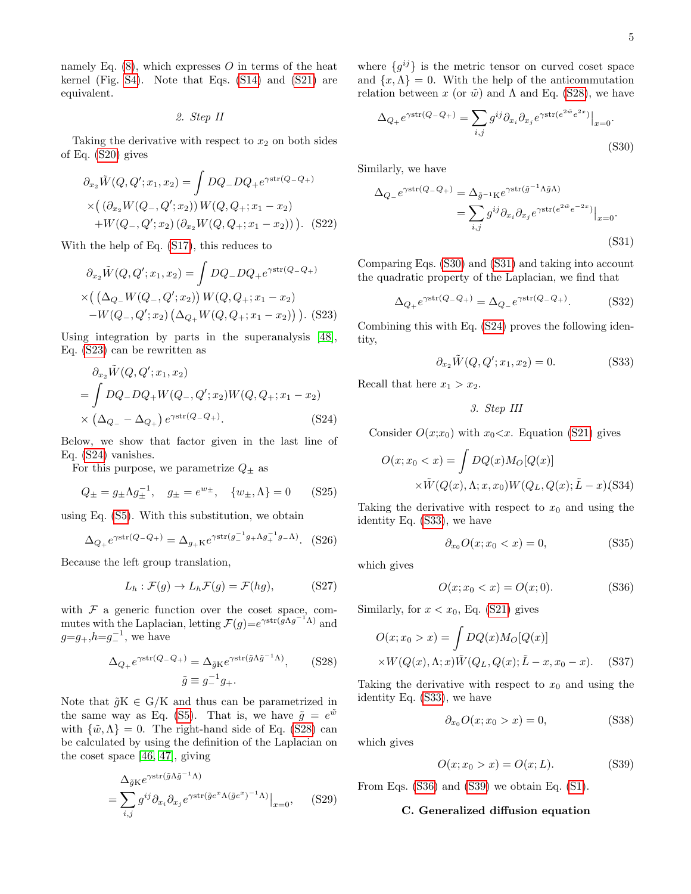namely Eq.  $(8)$ , which expresses O in terms of the heat kernel (Fig. [S4\)](#page-4-15). Note that Eqs. [\(S14\)](#page-9-1) and [\(S21\)](#page-9-7) are equivalent.

2. Step II

Taking the derivative with respect to  $x_2$  on both sides of Eq. [\(S20\)](#page-9-6) gives

$$
\partial_{x_2} \tilde{W}(Q, Q'; x_1, x_2) = \int DQ_- DQ_+ e^{\gamma \text{str}(Q_- Q_+)}
$$
  
 
$$
\times \left( (\partial_{x_2} W(Q_-, Q'; x_2)) W(Q, Q_+; x_1 - x_2) + W(Q_-, Q'; x_2) (\partial_{x_2} W(Q, Q_+; x_1 - x_2)) \right). \tag{S22}
$$

With the help of Eq. [\(S17\)](#page-9-3), this reduces to

<span id="page-10-0"></span>
$$
\partial_{x_2} \tilde{W}(Q, Q'; x_1, x_2) = \int DQ_- DQ_+ e^{\gamma \text{str}(Q_- Q_+)}
$$
  
×
$$
((\Delta_{Q_-} W(Q_-, Q'; x_2)) W(Q, Q_+; x_1 - x_2)
$$
  
-
$$
W(Q_-, Q'; x_2) (\Delta_{Q_+} W(Q, Q_+; x_1 - x_2))).
$$
 (S23)

Using integration by parts in the superanalysis [\[48\]](#page-5-24), Eq. [\(S23\)](#page-10-0) can be rewritten as

<span id="page-10-1"></span>
$$
\partial_{x_2} \tilde{W}(Q, Q'; x_1, x_2)
$$
  
=  $\int DQ - DQ_+ W(Q_-, Q'; x_2) W(Q, Q_+; x_1 - x_2)$   
 $\times (\Delta_{Q_-} - \Delta_{Q_+}) e^{\gamma \text{str}(Q - Q_+)}. \tag{S24}$ 

Below, we show that factor given in the last line of Eq. [\(S24\)](#page-10-1) vanishes.

For this purpose, we parametrize  $Q_{\pm}$  as

$$
Q_{\pm} = g_{\pm} \Lambda g_{\pm}^{-1}, \quad g_{\pm} = e^{w_{\pm}}, \quad \{w_{\pm}, \Lambda\} = 0
$$
 (S25)

using Eq. [\(S5\)](#page-2-0). With this substitution, we obtain

$$
\Delta_{Q_+} e^{\gamma \text{str}(Q_-Q_+)} = \Delta_{g_+K} e^{\gamma \text{str}(g_-^{-1}g_+ \Lambda g_+^{-1}g_- \Lambda)}.
$$
 (S26)

Because the left group translation,

$$
L_h: \mathcal{F}(g) \to L_h \mathcal{F}(g) = \mathcal{F}(hg), \tag{S27}
$$

with  $F$  a generic function over the coset space, commutes with the Laplacian, letting  $\mathcal{F}(g)=e^{\gamma \text{str}(\tilde{g}\Lambda g^{-1}\Lambda)}$  and  $g= g_+, h=g_-^{-1}$ , we have

<span id="page-10-2"></span>
$$
\Delta_{Q_+} e^{\gamma \text{str}(Q_-Q_+)} = \Delta_{\tilde{g}K} e^{\gamma \text{str}(\tilde{g}\Lambda \tilde{g}^{-1}\Lambda)}, \quad (S28)
$$

$$
\tilde{g} \equiv g_-^{-1} g_+.
$$

Note that  $\tilde{g}K \in G/K$  and thus can be parametrized in the same way as Eq. [\(S5\)](#page-2-0). That is, we have  $\tilde{g} = e^{\tilde{w}}$ with  $\{\tilde{w}, \Lambda\} = 0$ . The right-hand side of Eq. [\(S28\)](#page-10-2) can be calculated by using the definition of the Laplacian on the coset space [\[46,](#page-5-22) [47\]](#page-5-23), giving

$$
\Delta_{\tilde{g}K} e^{\gamma \text{str}(\tilde{g}\Lambda \tilde{g}^{-1}\Lambda)} = \sum_{i,j} g^{ij} \partial_{x_i} \partial_{x_j} e^{\gamma \text{str}(\tilde{g}e^x \Lambda (\tilde{g}e^x)^{-1}\Lambda)} \Big|_{x=0}, \quad (S29)
$$

where  $\{g^{ij}\}\$ is the metric tensor on curved coset space and  $\{x,\Lambda\} = 0$ . With the help of the anticommutation relation between x (or  $\tilde{w}$ ) and  $\Lambda$  and Eq. [\(S28\)](#page-10-2), we have

<span id="page-10-3"></span>
$$
\Delta_{Q_+} e^{\gamma \text{str}(Q_-Q_+)} = \sum_{i,j} g^{ij} \partial_{x_i} \partial_{x_j} e^{\gamma \text{str}(e^{2\tilde{w}} e^{2x})} \big|_{x=0}.
$$
\n(S30)

Similarly, we have

<span id="page-10-4"></span>
$$
\Delta_{Q_{-}}e^{\gamma \text{str}(Q_{-}Q_{+})} = \Delta_{\tilde{g}^{-1}K}e^{\gamma \text{str}(\tilde{g}^{-1}\Lambda\tilde{g}\Lambda)}
$$

$$
= \sum_{i,j} g^{ij} \partial_{x_i} \partial_{x_j} e^{\gamma \text{str}(e^{2\tilde{w}}e^{-2x})}\Big|_{x=0}.
$$
(S31)

Comparing Eqs. [\(S30\)](#page-10-3) and [\(S31\)](#page-10-4) and taking into account the quadratic property of the Laplacian, we find that

$$
\Delta_{Q_+} e^{\gamma \text{str}(Q_-Q_+)} = \Delta_{Q_-} e^{\gamma \text{str}(Q_-Q_+)}. \tag{S32}
$$

Combining this with Eq. [\(S24\)](#page-10-1) proves the following identity,

<span id="page-10-5"></span>
$$
\partial_{x_2}\tilde{W}(Q, Q'; x_1, x_2) = 0. \tag{S33}
$$

Recall that here  $x_1 > x_2$ .

3. Step III

Consider  $O(x; x_0)$  with  $x_0 < x$ . Equation [\(S21\)](#page-9-7) gives

$$
O(x; x_0 < x) = \int DQ(x)M_O[Q(x)]
$$
\n
$$
\times \tilde{W}(Q(x), \Lambda; x, x_0)W(Q_L, Q(x); \tilde{L} - x) \text{(S34)}
$$

Taking the derivative with respect to  $x_0$  and using the identity Eq. [\(S33\)](#page-10-5), we have

$$
\partial_{x_0} O(x; x_0 < x) = 0,\tag{S35}
$$

which gives

<span id="page-10-6"></span>
$$
O(x; x_0 < x) = O(x; 0). \tag{S36}
$$

Similarly, for  $x < x_0$ , Eq. [\(S21\)](#page-9-7) gives

$$
O(x; x_0 > x) = \int DQ(x)M_O[Q(x)]
$$
  
× $W(Q(x), \Lambda; x)\tilde{W}(Q_L, Q(x); \tilde{L} - x, x_0 - x).$  (S37)

Taking the derivative with respect to  $x_0$  and using the identity Eq. [\(S33\)](#page-10-5), we have

$$
\partial_{x_0} O(x; x_0 > x) = 0,\tag{S38}
$$

which gives

<span id="page-10-7"></span>
$$
O(x; x_0 > x) = O(x; L).
$$
 (S39)

From Eqs. [\(S36\)](#page-10-6) and [\(S39\)](#page-10-7) we obtain Eq. [\(S1\)](#page-0-0).

#### C. Generalized diffusion equation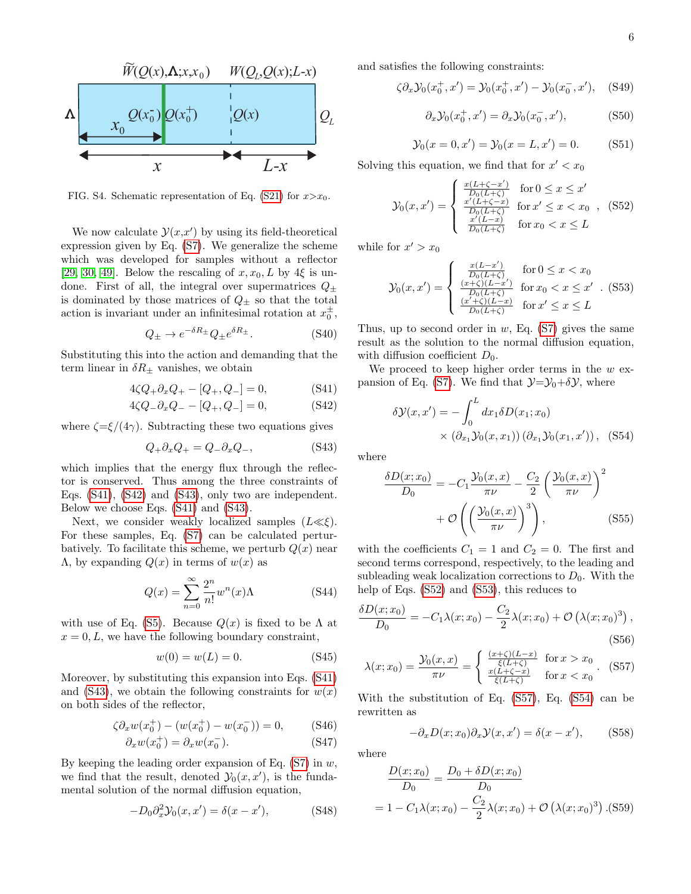

FIG. S4. Schematic representation of Eq. [\(S21\)](#page-9-7) for  $x > x_0$ .

We now calculate  $\mathcal{Y}(x,x')$  by using its field-theoretical expression given by Eq. [\(S7\)](#page-2-3). We generalize the scheme which was developed for samples without a reflector [\[29,](#page-5-4) [30,](#page-5-5) [49\]](#page-5-25). Below the rescaling of  $x, x_0, L$  by 4 $\xi$  is undone. First of all, the integral over supermatrices  $Q_{\pm}$ is dominated by those matrices of  $Q_{+}$  so that the total action is invariant under an infinitesimal rotation at  $x_0^{\pm}$ ,

$$
Q_{\pm} \to e^{-\delta R_{\pm}} Q_{\pm} e^{\delta R_{\pm}}.
$$
 (S40)

Substituting this into the action and demanding that the term linear in  $\delta R_{\pm}$  vanishes, we obtain

<span id="page-11-0"></span>
$$
4\zeta Q_+ \partial_x Q_+ - [Q_+, Q_-] = 0, \tag{S41}
$$

$$
4\zeta Q_-\partial_x Q_- - [Q_+, Q_-] = 0,\t\t(S42)
$$

where  $\zeta = \xi/(4\gamma)$ . Subtracting these two equations gives

<span id="page-11-1"></span>
$$
Q_+ \partial_x Q_+ = Q_- \partial_x Q_-, \tag{S43}
$$

which implies that the energy flux through the reflector is conserved. Thus among the three constraints of Eqs. [\(S41\)](#page-11-0), [\(S42\)](#page-11-0) and [\(S43\)](#page-11-1), only two are independent. Below we choose Eqs. [\(S41\)](#page-11-0) and [\(S43\)](#page-11-1).

Next, we consider weakly localized samples  $(L \ll \xi)$ . For these samples, Eq. [\(S7\)](#page-2-3) can be calculated perturbatively. To facilitate this scheme, we perturb  $Q(x)$  near  $Λ$ , by expanding  $Q(x)$  in terms of  $w(x)$  as

$$
Q(x) = \sum_{n=0}^{\infty} \frac{2^n}{n!} w^n(x) \Lambda
$$
 (S44)

with use of Eq. [\(S5\)](#page-2-0). Because  $Q(x)$  is fixed to be  $\Lambda$  at  $x = 0, L$ , we have the following boundary constraint,

$$
w(0) = w(L) = 0.
$$
 (S45)

Moreover, by substituting this expansion into Eqs. [\(S41\)](#page-11-0) and [\(S43\)](#page-11-1), we obtain the following constraints for  $w(x)$ on both sides of the reflector,

$$
\zeta \partial_x w(x_0^+) - (w(x_0^+) - w(x_0^-)) = 0, \qquad \text{(S46)}
$$

$$
\partial_x w(x_0^+) = \partial_x w(x_0^-). \tag{S47}
$$

By keeping the leading order expansion of Eq.  $(S7)$  in  $w$ , we find that the result, denoted  $\mathcal{Y}_0(x, x')$ , is the fundamental solution of the normal diffusion equation,

<span id="page-11-6"></span>
$$
-D_0 \partial_x^2 \mathcal{Y}_0(x, x') = \delta(x - x'), \tag{S48}
$$

and satisfies the following constraints:

$$
\zeta \partial_x \mathcal{Y}_0(x_0^+, x') = \mathcal{Y}_0(x_0^+, x') - \mathcal{Y}_0(x_0^-, x'), \quad \text{(S49)}
$$

$$
\partial_x \mathcal{Y}_0(x_0^+, x') = \partial_x \mathcal{Y}_0(x_0^-, x'), \tag{S50}
$$

$$
\mathcal{Y}_0(x = 0, x') = \mathcal{Y}_0(x = L, x') = 0.
$$
 (S51)

Solving this equation, we find that for  $x' < x_0$ 

<span id="page-11-2"></span>
$$
\mathcal{Y}_0(x, x') = \begin{cases} \frac{x(L + \zeta - x')}{D_0(L + \zeta)} & \text{for } 0 \le x \le x'\\ \frac{x'(L + \zeta - x)}{D_0(L + \zeta)} & \text{for } x' \le x < x_0 \\ \frac{x'(L - x)}{D_0(L + \zeta)} & \text{for } x_0 < x \le L \end{cases}
$$
 (S52)

while for  $x' > x_0$ 

<span id="page-11-3"></span>
$$
\mathcal{Y}_0(x, x') = \begin{cases}\n\frac{x(L - x')}{D_0(L + \zeta)} & \text{for } 0 \le x < x_0 \\
\frac{(x + \zeta)(L - x')}{D_0(L + \zeta)} & \text{for } x_0 < x \le x' \\
\frac{(x' + \zeta)(L - x)}{D_0(L + \zeta)} & \text{for } x' \le x \le L\n\end{cases} (S53)
$$

Thus, up to second order in  $w$ , Eq. [\(S7\)](#page-2-3) gives the same result as the solution to the normal diffusion equation, with diffusion coefficient  $D_0$ .

We proceed to keep higher order terms in the  $w$  ex-pansion of Eq. [\(S7\)](#page-2-3). We find that  $\mathcal{Y}=\mathcal{Y}_0+\delta\mathcal{Y}$ , where

<span id="page-11-5"></span>
$$
\delta \mathcal{Y}(x, x') = -\int_0^L dx_1 \delta D(x_1; x_0)
$$

$$
\times (\partial_{x_1} \mathcal{Y}_0(x, x_1)) (\partial_{x_1} \mathcal{Y}_0(x_1, x')), \text{(S54)}
$$

where

$$
\frac{\delta D(x; x_0)}{D_0} = -C_1 \frac{\mathcal{Y}_0(x, x)}{\pi \nu} - \frac{C_2}{2} \left( \frac{\mathcal{Y}_0(x, x)}{\pi \nu} \right)^2
$$

$$
+ \mathcal{O}\left( \left( \frac{\mathcal{Y}_0(x, x)}{\pi \nu} \right)^3 \right), \tag{S55}
$$

with the coefficients  $C_1 = 1$  and  $C_2 = 0$ . The first and second terms correspond, respectively, to the leading and subleading weak localization corrections to  $D_0$ . With the help of Eqs. [\(S52\)](#page-11-2) and [\(S53\)](#page-11-3), this reduces to

<span id="page-11-4"></span>
$$
\frac{\delta D(x; x_0)}{D_0} = -C_1 \lambda(x; x_0) - \frac{C_2}{2} \lambda(x; x_0) + \mathcal{O}\left(\lambda(x; x_0)^3\right),\tag{S56}
$$

$$
\lambda(x; x_0) = \frac{\mathcal{Y}_0(x, x)}{\pi \nu} = \begin{cases} \frac{(x+\zeta)(L-x)}{\xi(L+\zeta)} & \text{for } x > x_0 \\ \frac{x(L+\zeta-x)}{\xi(L+\zeta)} & \text{for } x < x_0 \end{cases} . \tag{S57}
$$

With the substitution of Eq. [\(S57\)](#page-11-4), Eq. [\(S54\)](#page-11-5) can be rewritten as

<span id="page-11-8"></span>
$$
-\partial_x D(x; x_0) \partial_x \mathcal{Y}(x, x') = \delta(x - x'), \quad (S58)
$$

where

<span id="page-11-7"></span>
$$
\frac{D(x; x_0)}{D_0} = \frac{D_0 + \delta D(x; x_0)}{D_0}
$$
  
= 1 - C<sub>1</sub>\lambda(x; x<sub>0</sub>) -  $\frac{C_2}{2}$ \lambda(x; x<sub>0</sub>) + O(\lambda(x; x<sub>0</sub>)<sup>3</sup>).(S59)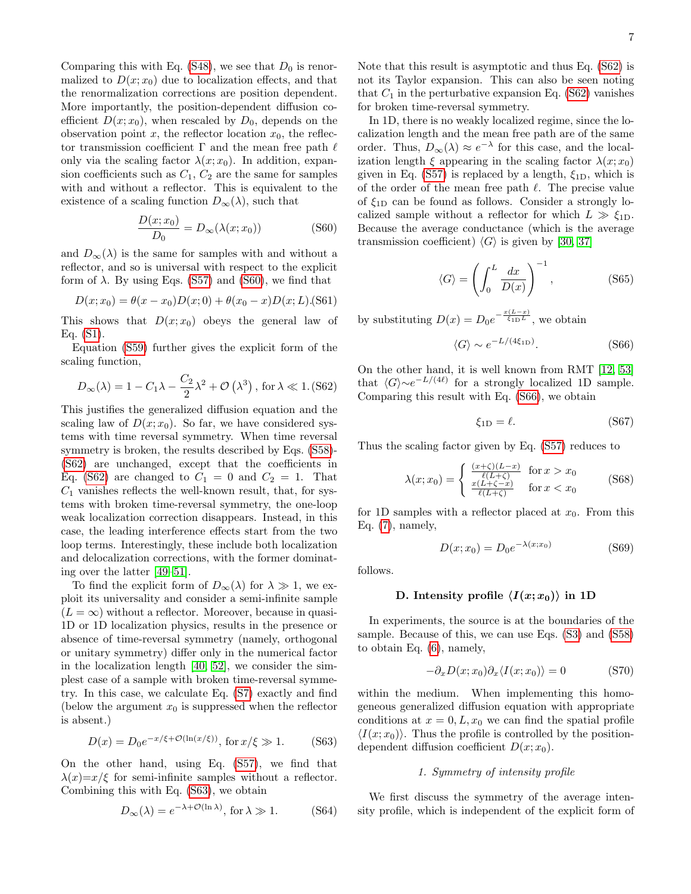Comparing this with Eq. [\(S48\)](#page-11-6), we see that  $D_0$  is renormalized to  $D(x; x_0)$  due to localization effects, and that the renormalization corrections are position dependent. More importantly, the position-dependent diffusion coefficient  $D(x; x_0)$ , when rescaled by  $D_0$ , depends on the observation point x, the reflector location  $x_0$ , the reflector transmission coefficient  $\Gamma$  and the mean free path  $\ell$ only via the scaling factor  $\lambda(x; x_0)$ . In addition, expansion coefficients such as  $C_1$ ,  $C_2$  are the same for samples with and without a reflector. This is equivalent to the existence of a scaling function  $D_{\infty}(\lambda)$ , such that

<span id="page-12-0"></span>
$$
\frac{D(x; x_0)}{D_0} = D_{\infty}(\lambda(x; x_0))
$$
 (S60)

and  $D_{\infty}(\lambda)$  is the same for samples with and without a reflector, and so is universal with respect to the explicit form of  $\lambda$ . By using Eqs. [\(S57\)](#page-11-4) and [\(S60\)](#page-12-0), we find that

<span id="page-12-5"></span>
$$
D(x; x_0) = \theta(x - x_0)D(x; 0) + \theta(x_0 - x)D(x; L)(S61)
$$

This shows that  $D(x; x_0)$  obeys the general law of Eq. [\(S1\)](#page-0-0).

Equation [\(S59\)](#page-11-7) further gives the explicit form of the scaling function,

<span id="page-12-1"></span>
$$
D_{\infty}(\lambda) = 1 - C_1 \lambda - \frac{C_2}{2} \lambda^2 + \mathcal{O}(\lambda^3), \text{ for } \lambda \ll 1. (862)
$$

This justifies the generalized diffusion equation and the scaling law of  $D(x; x_0)$ . So far, we have considered systems with time reversal symmetry. When time reversal symmetry is broken, the results described by Eqs. [\(S58\)](#page-11-8)- [\(S62\)](#page-12-1) are unchanged, except that the coefficients in Eq. [\(S62\)](#page-12-1) are changed to  $C_1 = 0$  and  $C_2 = 1$ . That  $C_1$  vanishes reflects the well-known result, that, for systems with broken time-reversal symmetry, the one-loop weak localization correction disappears. Instead, in this case, the leading interference effects start from the two loop terms. Interestingly, these include both localization and delocalization corrections, with the former dominating over the latter [\[49–](#page-5-25)[51\]](#page-5-26).

To find the explicit form of  $D_{\infty}(\lambda)$  for  $\lambda \gg 1$ , we exploit its universality and consider a semi-infinite sample  $(L = \infty)$  without a reflector. Moreover, because in quasi-1D or 1D localization physics, results in the presence or absence of time-reversal symmetry (namely, orthogonal or unitary symmetry) differ only in the numerical factor in the localization length [\[40,](#page-5-13) [52\]](#page-5-27), we consider the simplest case of a sample with broken time-reversal symmetry. In this case, we calculate Eq. [\(S7\)](#page-2-3) exactly and find (below the argument  $x_0$  is suppressed when the reflector is absent.)

<span id="page-12-2"></span>
$$
D(x) = D_0 e^{-x/\xi + \mathcal{O}(\ln(x/\xi))}, \text{ for } x/\xi \gg 1.
$$
 (S63)

On the other hand, using Eq. [\(S57\)](#page-11-4), we find that  $\lambda(x)=x/\xi$  for semi-infinite samples without a reflector. Combining this with Eq. [\(S63\)](#page-12-2), we obtain

$$
D_{\infty}(\lambda) = e^{-\lambda + \mathcal{O}(\ln \lambda)}, \text{ for } \lambda \gg 1.
$$
 (S64)

Note that this result is asymptotic and thus Eq. [\(S62\)](#page-12-1) is not its Taylor expansion. This can also be seen noting that  $C_1$  in the perturbative expansion Eq. [\(S62\)](#page-12-1) vanishes for broken time-reversal symmetry.

In 1D, there is no weakly localized regime, since the localization length and the mean free path are of the same order. Thus,  $D_{\infty}(\lambda) \approx e^{-\lambda}$  for this case, and the localization length  $\xi$  appearing in the scaling factor  $\lambda(x; x_0)$ given in Eq. [\(S57\)](#page-11-4) is replaced by a length,  $\xi_{1D}$ , which is of the order of the mean free path  $\ell$ . The precise value of  $\xi_{1D}$  can be found as follows. Consider a strongly localized sample without a reflector for which  $L \gg \xi_{1D}$ . Because the average conductance (which is the average transmission coefficient)  $\langle G \rangle$  is given by [\[30,](#page-5-5) [37\]](#page-5-11)

$$
\langle G \rangle = \left( \int_0^L \frac{dx}{D(x)} \right)^{-1}, \quad (S65)
$$

by substituting  $D(x) = D_0 e^{-\frac{x(L-x)}{\xi_{\text{1D}}L}}$ , we obtain

<span id="page-12-3"></span>
$$
\langle G \rangle \sim e^{-L/(4\xi_{1D})}.\tag{S66}
$$

On the other hand, it is well known from RMT [\[12,](#page-4-5) [53\]](#page-5-28) that  $\langle G \rangle \sim e^{-L/(4\ell)}$  for a strongly localized 1D sample. Comparing this result with Eq. [\(S66\)](#page-12-3), we obtain

$$
\xi_{1D} = \ell. \tag{S67}
$$

Thus the scaling factor given by Eq. [\(S57\)](#page-11-4) reduces to

<span id="page-12-6"></span>
$$
\lambda(x; x_0) = \begin{cases}\n\frac{(x+\zeta)(L-x)}{\ell(L+\zeta)} & \text{for } x > x_0 \\
\frac{x(L+\zeta-x)}{\ell(L+\zeta)} & \text{for } x < x_0\n\end{cases}
$$
\n(S68)

for 1D samples with a reflector placed at  $x_0$ . From this Eq.  $(7)$ , namely,

$$
D(x; x_0) = D_0 e^{-\lambda(x; x_0)} \tag{S69}
$$

follows.

#### D. Intensity profile  $\langle I(x; x_0) \rangle$  in 1D

In experiments, the source is at the boundaries of the sample. Because of this, we can use Eqs. [\(S3\)](#page-1-1) and [\(S58\)](#page-11-8) to obtain Eq. [\(6\)](#page-2-4), namely,

<span id="page-12-4"></span>
$$
-\partial_x D(x; x_0) \partial_x \langle I(x; x_0) \rangle = 0 \tag{S70}
$$

within the medium. When implementing this homogeneous generalized diffusion equation with appropriate conditions at  $x = 0, L, x_0$  we can find the spatial profile  $\langle I(x; x_0) \rangle$ . Thus the profile is controlled by the positiondependent diffusion coefficient  $D(x; x_0)$ .

#### 1. Symmetry of intensity profile

We first discuss the symmetry of the average intensity profile, which is independent of the explicit form of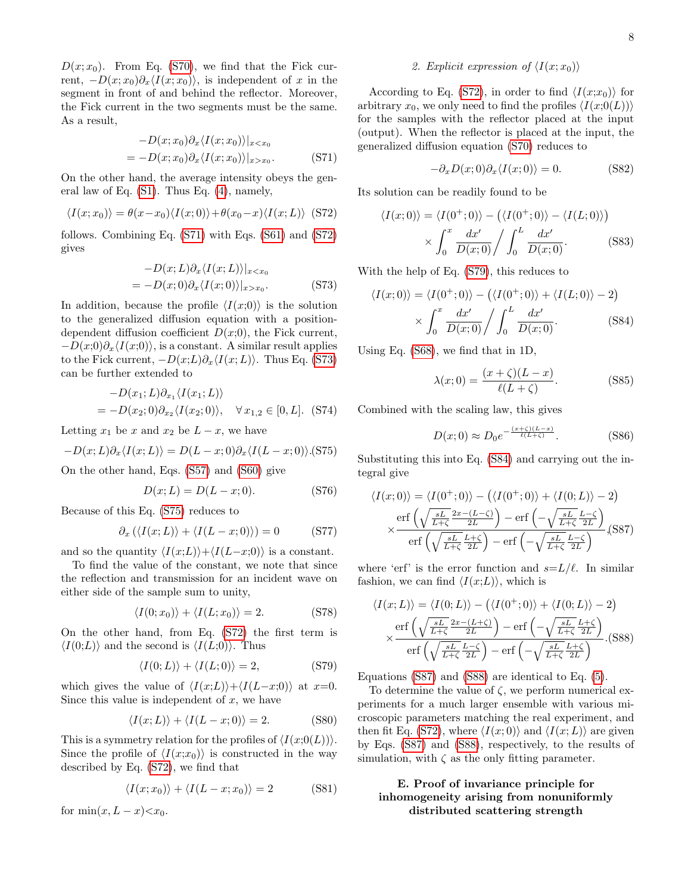$D(x; x_0)$ . From Eq. [\(S70\)](#page-12-4), we find that the Fick current,  $-D(x; x_0)\partial_x\langle I(x; x_0)\rangle$ , is independent of x in the segment in front of and behind the reflector. Moreover, the Fick current in the two segments must be the same. As a result,

<span id="page-13-0"></span>
$$
-D(x; x_0)\partial_x \langle I(x; x_0) \rangle |_{x < x_0}
$$
  
= -D(x; x\_0)\partial\_x \langle I(x; x\_0) \rangle |\_{x > x\_0}.\t(S71)

On the other hand, the average intensity obeys the general law of Eq. [\(S1\)](#page-0-0). Thus Eq. [\(4\)](#page-2-1), namely,

<span id="page-13-1"></span>
$$
\langle I(x; x_0) \rangle = \theta(x - x_0) \langle I(x; 0) \rangle + \theta(x_0 - x) \langle I(x; L) \rangle \tag{S72}
$$

follows. Combining Eq. [\(S71\)](#page-13-0) with Eqs. [\(S61\)](#page-12-5) and [\(S72\)](#page-13-1) gives

<span id="page-13-2"></span>
$$
-D(x;L)\partial_x\langle I(x;L)\rangle|_{x  
= -D(x;0)\partial_x\langle I(x;0)\rangle|_{x>x_0}. (S73)
$$

In addition, because the profile  $\langle I(x;0)\rangle$  is the solution to the generalized diffusion equation with a positiondependent diffusion coefficient  $D(x;0)$ , the Fick current,  $-D(x;0)\partial_x\langle I(x;0)\rangle$ , is a constant. A similar result applies to the Fick current,  $-D(x;L)\partial_x\langle I(x;L)\rangle$ . Thus Eq. [\(S73\)](#page-13-2) can be further extended to

$$
-D(x_1; L)\partial_{x_1}\langle I(x_1; L)\rangle
$$
  
=  $-D(x_2; 0)\partial_{x_2}\langle I(x_2; 0)\rangle$ ,  $\forall x_{1,2} \in [0, L]$ . (S74)

Letting  $x_1$  be x and  $x_2$  be  $L - x$ , we have

<span id="page-13-3"></span>
$$
-D(x;L)\partial_x\langle I(x;L)\rangle = D(L-x;0)\partial_x\langle I(L-x;0)\rangle.
$$
 (S75)

On the other hand, Eqs. [\(S57\)](#page-11-4) and [\(S60\)](#page-12-0) give

$$
D(x;L) = D(L - x; 0).
$$
 (S76)

Because of this Eq. [\(S75\)](#page-13-3) reduces to

$$
\partial_x \left( \langle I(x;L) \rangle + \langle I(L-x;0) \rangle \right) = 0 \tag{S77}
$$

and so the quantity  $\langle I(x;L)\rangle+\langle I(L-x;0)\rangle$  is a constant.

To find the value of the constant, we note that since the reflection and transmission for an incident wave on either side of the sample sum to unity,

$$
\langle I(0; x_0) \rangle + \langle I(L; x_0) \rangle = 2. \tag{S78}
$$

On the other hand, from Eq. [\(S72\)](#page-13-1) the first term is  $\langle I(0;L)\rangle$  and the second is  $\langle I(L;0)\rangle$ . Thus

<span id="page-13-4"></span>
$$
\langle I(0;L)\rangle + \langle I(L;0)\rangle = 2,\tag{S79}
$$

which gives the value of  $\langle I(x;L)\rangle+\langle I(L-x;0)\rangle$  at x=0. Since this value is independent of  $x$ , we have

$$
\langle I(x;L)\rangle + \langle I(L-x;0)\rangle = 2.
$$
 (S80)

This is a symmetry relation for the profiles of  $\langle I(x;0(L)) \rangle$ . Since the profile of  $\langle I(x;x_0)\rangle$  is constructed in the way described by Eq. [\(S72\)](#page-13-1), we find that

$$
\langle I(x; x_0) \rangle + \langle I(L - x; x_0) \rangle = 2 \tag{S81}
$$

for  $\min(x, L - x) < x_0$ .

#### 2. Explicit expression of  $\langle I(x; x_0) \rangle$

According to Eq. [\(S72\)](#page-13-1), in order to find  $\langle I(x;x_0)\rangle$  for arbitrary  $x_0$ , we only need to find the profiles  $\langle I(x;0(L)) \rangle$ for the samples with the reflector placed at the input (output). When the reflector is placed at the input, the generalized diffusion equation [\(S70\)](#page-12-4) reduces to

$$
-\partial_x D(x;0)\partial_x \langle I(x;0) \rangle = 0. \tag{S82}
$$

Its solution can be readily found to be

$$
\langle I(x;0) \rangle = \langle I(0^+;0) \rangle - (\langle I(0^+;0) \rangle - \langle I(L;0) \rangle)
$$

$$
\times \int_0^x \frac{dx'}{D(x;0)} / \int_0^L \frac{dx'}{D(x;0)}.
$$
 (S83)

With the help of Eq. [\(S79\)](#page-13-4), this reduces to

<span id="page-13-5"></span>
$$
\langle I(x;0) \rangle = \langle I(0^+;0) \rangle - (\langle I(0^+;0) \rangle + \langle I(L;0) \rangle - 2)
$$
  
 
$$
\times \int_0^x \frac{dx'}{D(x;0)} / \int_0^L \frac{dx'}{D(x;0)}.
$$
 (S84)

Using Eq. [\(S68\)](#page-12-6), we find that in 1D,

$$
\lambda(x;0) = \frac{(x+\zeta)(L-x)}{\ell(L+\zeta)}.\tag{S85}
$$

Combined with the scaling law, this gives

$$
D(x;0) \approx D_0 e^{-\frac{(x+\zeta)(L-x)}{\ell(L+\zeta)}}.
$$
 (S86)

Substituting this into Eq. [\(S84\)](#page-13-5) and carrying out the integral give

<span id="page-13-6"></span>
$$
\langle I(x;0) \rangle = \langle I(0^+;0) \rangle - \left( \langle I(0^+;0) \rangle + \langle I(0;L) \rangle - 2 \right)
$$

$$
\times \frac{\text{erf}\left(\sqrt{\frac{sL}{L+\zeta}} \frac{2x - (L-\zeta)}{2L}\right) - \text{erf}\left(-\sqrt{\frac{sL}{L+\zeta}} \frac{L-\zeta}{2L}\right)}{\text{erf}\left(\sqrt{\frac{sL}{L+\zeta}} \frac{L+\zeta}{2L}\right) - \text{erf}\left(-\sqrt{\frac{sL}{L+\zeta}} \frac{L-\zeta}{2L}\right)} (S87)
$$

where 'erf' is the error function and  $s=L/\ell$ . In similar fashion, we can find  $\langle I(x;L)\rangle$ , which is

<span id="page-13-7"></span>
$$
\langle I(x;L) \rangle = \langle I(0;L) \rangle - \left( \langle I(0^+;0) \rangle + \langle I(0;L) \rangle - 2 \right)
$$
  

$$
\times \frac{\text{erf}\left(\sqrt{\frac{sL}{L+\zeta}} \frac{2x - (L+\zeta)}{2L}\right) - \text{erf}\left(-\sqrt{\frac{sL}{L+\zeta}} \frac{L+\zeta}{2L}\right)}{\text{erf}\left(\sqrt{\frac{sL}{L+\zeta}} \frac{L-\zeta}{2L}\right) - \text{erf}\left(-\sqrt{\frac{sL}{L+\zeta}} \frac{L+\zeta}{2L}\right)}.
$$
(S88)

Equations [\(S87\)](#page-13-6) and [\(S88\)](#page-13-7) are identical to Eq. [\(5\)](#page-2-0).

To determine the value of  $\zeta$ , we perform numerical experiments for a much larger ensemble with various microscopic parameters matching the real experiment, and then fit Eq. [\(S72\)](#page-13-1), where  $\langle I(x; 0) \rangle$  and  $\langle I(x; L) \rangle$  are given by Eqs. [\(S87\)](#page-13-6) and [\(S88\)](#page-13-7), respectively, to the results of simulation, with  $\zeta$  as the only fitting parameter.

# E. Proof of invariance principle for inhomogeneity arising from nonuniformly distributed scattering strength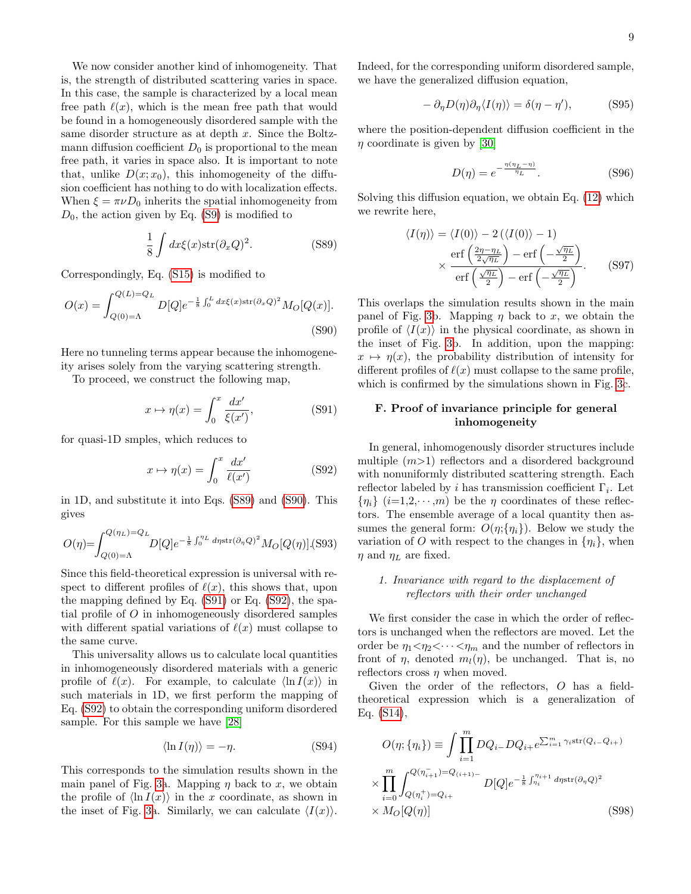We now consider another kind of inhomogeneity. That is, the strength of distributed scattering varies in space. In this case, the sample is characterized by a local mean free path  $\ell(x)$ , which is the mean free path that would be found in a homogeneously disordered sample with the same disorder structure as at depth x. Since the Boltzmann diffusion coefficient  $D_0$  is proportional to the mean free path, it varies in space also. It is important to note that, unlike  $D(x; x_0)$ , this inhomogeneity of the diffusion coefficient has nothing to do with localization effects. When  $\xi = \pi \nu D_0$  inherits the spatial inhomogeneity from  $D_0$ , the action given by Eq. [\(S9\)](#page-3-4) is modified to

<span id="page-14-0"></span>
$$
\frac{1}{8} \int dx \xi(x) \operatorname{str}(\partial_x Q)^2.
$$
 (S89)

Correspondingly, Eq. [\(S15\)](#page-9-2) is modified to

<span id="page-14-1"></span>
$$
O(x) = \int_{Q(0)=\Lambda}^{Q(L)=Q_L} D[Q] e^{-\frac{1}{8} \int_0^L dx \xi(x) \text{str}(\partial_x Q)^2} M_O[Q(x)].
$$
\n(S90)

Here no tunneling terms appear because the inhomogeneity arises solely from the varying scattering strength.

To proceed, we construct the following map,

<span id="page-14-2"></span>
$$
x \mapsto \eta(x) = \int_0^x \frac{dx'}{\xi(x')},\tag{S91}
$$

for quasi-1D smples, which reduces to

<span id="page-14-3"></span>
$$
x \mapsto \eta(x) = \int_0^x \frac{dx'}{\ell(x')}
$$
 (S92)

in 1D, and substitute it into Eqs. [\(S89\)](#page-14-0) and [\(S90\)](#page-14-1). This gives

$$
O(\eta) = \int_{Q(0) = \Lambda}^{Q(\eta_L) = Q_L} D[Q] e^{-\frac{1}{8} \int_0^{\eta_L} d\eta \text{str}(\partial_\eta Q)^2} M_O[Q(\eta)]
$$
 (S93)

Since this field-theoretical expression is universal with respect to different profiles of  $\ell(x)$ , this shows that, upon the mapping defined by Eq. [\(S91\)](#page-14-2) or Eq. [\(S92\)](#page-14-3), the spatial profile of O in inhomogeneously disordered samples with different spatial variations of  $\ell(x)$  must collapse to the same curve.

This universality allows us to calculate local quantities in inhomogeneously disordered materials with a generic profile of  $\ell(x)$ . For example, to calculate  $\langle \ln I(x) \rangle$  in such materials in 1D, we first perform the mapping of Eq. [\(S92\)](#page-14-3) to obtain the corresponding uniform disordered sample. For this sample we have [\[28\]](#page-5-3)

$$
\langle \ln I(\eta) \rangle = -\eta. \tag{S94}
$$

This corresponds to the simulation results shown in the main panel of Fig. [3a](#page-3-3). Mapping  $\eta$  back to x, we obtain the profile of  $\langle \ln I(x) \rangle$  in the x coordinate, as shown in the inset of Fig. [3a](#page-3-3). Similarly, we can calculate  $\langle I(x)\rangle$ .

Indeed, for the corresponding uniform disordered sample, we have the generalized diffusion equation,

$$
- \partial_{\eta} D(\eta) \partial_{\eta} \langle I(\eta) \rangle = \delta(\eta - \eta'), \quad (S95)
$$

where the position-dependent diffusion coefficient in the  $\eta$  coordinate is given by [\[30\]](#page-5-5)

$$
D(\eta) = e^{-\frac{\eta(\eta_L - \eta)}{\eta_L}}.\t\t(S96)
$$

Solving this diffusion equation, we obtain Eq. [\(12\)](#page-3-5) which we rewrite here,

$$
\langle I(\eta) \rangle = \langle I(0) \rangle - 2 (\langle I(0) \rangle - 1)
$$

$$
\times \frac{\text{erf}\left(\frac{2\eta - \eta_L}{2\sqrt{\eta_L}}\right) - \text{erf}\left(-\frac{\sqrt{\eta_L}}{2}\right)}{\text{erf}\left(\frac{\sqrt{\eta_L}}{2}\right) - \text{erf}\left(-\frac{\sqrt{\eta_L}}{2}\right)}.
$$
(S97)

This overlaps the simulation results shown in the main panel of Fig. [3b](#page-3-3). Mapping  $\eta$  back to x, we obtain the profile of  $\langle I(x)\rangle$  in the physical coordinate, as shown in the inset of Fig. [3b](#page-3-3). In addition, upon the mapping:  $x \mapsto \eta(x)$ , the probability distribution of intensity for different profiles of  $\ell(x)$  must collapse to the same profile, which is confirmed by the simulations shown in Fig. [3c](#page-3-3).

# F. Proof of invariance principle for general inhomogeneity

In general, inhomogenously disorder structures include multiple  $(m>1)$  reflectors and a disordered background with nonuniformly distributed scattering strength. Each reflector labeled by i has transmission coefficient  $\Gamma_i$ . Let  ${n_i} (i=1,2,\dots,m)$  be the  $\eta$  coordinates of these reflectors. The ensemble average of a local quantity then assumes the general form:  $O(\eta;\{\eta_i\})$ . Below we study the variation of O with respect to the changes in  $\{\eta_i\}$ , when  $\eta$  and  $\eta_L$  are fixed.

## 1. Invariance with regard to the displacement of reflectors with their order unchanged

We first consider the case in which the order of reflectors is unchanged when the reflectors are moved. Let the order be  $\eta_1 < \eta_2 < \cdots < \eta_m$  and the number of reflectors in front of  $\eta$ , denoted  $m_l(\eta)$ , be unchanged. That is, no reflectors cross  $\eta$  when moved.

Given the order of the reflectors, O has a fieldtheoretical expression which is a generalization of Eq. [\(S14\)](#page-9-1),

<span id="page-14-4"></span>
$$
O(\eta; \{\eta_i\}) \equiv \int \prod_{i=1}^{m} DQ_{i-}DQ_{i+}e^{\sum_{i=1}^{m} \gamma_i \text{str}(Q_{i-}Q_{i+})}
$$

$$
\times \prod_{i=0}^{m} \int_{Q(\eta_i^+) = Q_{i+}}^{Q(\eta_{i+1}^-) = Q_{(i+1)-}} D[Q]e^{-\frac{1}{8}\int_{\eta_i}^{\eta_{i+1}} d\eta \text{str}(\partial_\eta Q)^2}
$$

$$
\times M_O[Q(\eta)] \tag{S98}
$$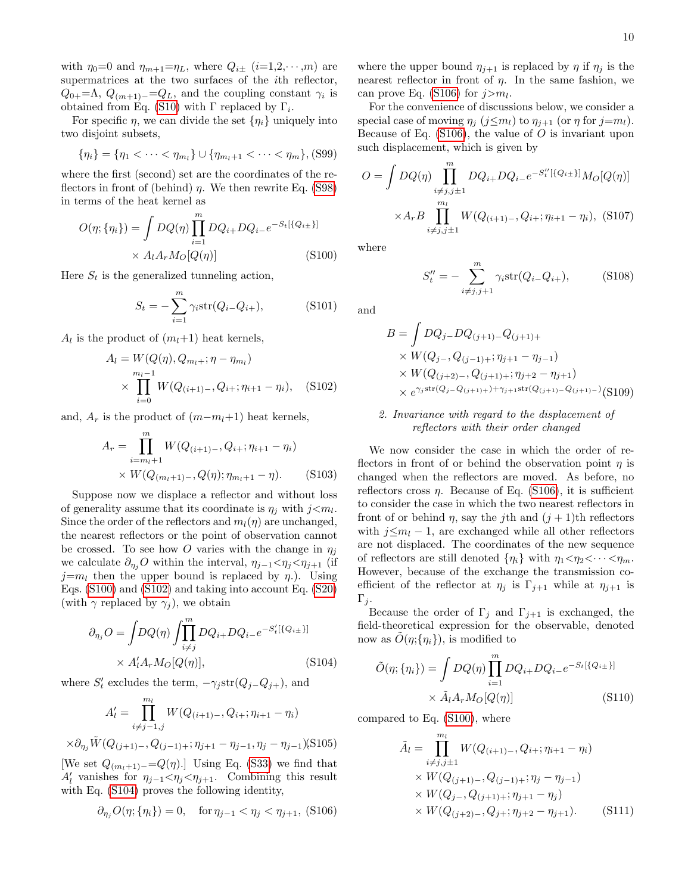with  $\eta_0=0$  and  $\eta_{m+1}=\eta_L$ , where  $Q_{i\pm}$  (i=1,2,  $\cdots$ , m) are supermatrices at the two surfaces of the ith reflector,  $Q_{0+} = \Lambda$ ,  $Q_{(m+1)-} = Q_L$ , and the coupling constant  $\gamma_i$  is obtained from Eq. [\(S10\)](#page-3-0) with  $\Gamma$  replaced by  $\Gamma_i$ .

For specific  $\eta$ , we can divide the set  $\{\eta_i\}$  uniquely into two disjoint subsets,

$$
\{\eta_i\} = \{\eta_1 < \cdots < \eta_{m_l}\} \cup \{\eta_{m_l+1} < \cdots < \eta_m\}, (S99)
$$

where the first (second) set are the coordinates of the reflectors in front of (behind)  $\eta$ . We then rewrite Eq. [\(S98\)](#page-14-4) in terms of the heat kernel as

<span id="page-15-0"></span>
$$
O(\eta; \{\eta_i\}) = \int DQ(\eta) \prod_{i=1}^{m} DQ_{i+} DQ_{i-}e^{-S_t[\{Q_{i\pm}\}]}
$$

$$
\times A_l A_r M_O[Q(\eta)] \tag{S100}
$$

Here  $S_t$  is the generalized tunneling action,

$$
S_t = -\sum_{i=1}^{m} \gamma_i \text{str}(Q_{i-}Q_{i+}), \qquad (S101)
$$

 $A_l$  is the product of  $(m_l+1)$  heat kernels,

<span id="page-15-1"></span>
$$
A_{l} = W(Q(\eta), Q_{m_{l}+}; \eta - \eta_{m_{l}})
$$
  
 
$$
\times \prod_{i=0}^{m_{l}-1} W(Q_{(i+1)-}, Q_{i+}; \eta_{i+1} - \eta_{i}), \quad (S102)
$$

and,  $A_r$  is the product of  $(m-m_l+1)$  heat kernels,

$$
A_r = \prod_{i=m_l+1}^{m} W(Q_{(i+1)-}, Q_{i+}; \eta_{i+1} - \eta_i)
$$
  
×  $W(Q_{(m_l+1)-}, Q(\eta); \eta_{m_l+1} - \eta)$ . (S103)

Suppose now we displace a reflector and without loss of generality assume that its coordinate is  $\eta_j$  with  $j \leq m_l$ . Since the order of the reflectors and  $m_l(\eta)$  are unchanged, the nearest reflectors or the point of observation cannot be crossed. To see how O varies with the change in  $\eta_i$ we calculate  $\partial_{\eta_i}O$  within the interval,  $\eta_{j-1} < \eta_j < \eta_{j+1}$  (if  $j=m_l$  then the upper bound is replaced by  $\eta$ .). Using Eqs. [\(S100\)](#page-15-0) and [\(S102\)](#page-15-1) and taking into account Eq. [\(S20\)](#page-9-6) (with  $\gamma$  replaced by  $\gamma_i$ ), we obtain

<span id="page-15-2"></span>
$$
\partial_{\eta_j} O = \int DQ(\eta) \int_{i \neq j}^m DQ_{i+} DQ_{i-} e^{-S'_t [\{Q_{i\pm}\}]}
$$

$$
\times A'_l A_r M_O [Q(\eta)], \qquad (S104)
$$

where  $S'_{t}$  excludes the term,  $-\gamma_{j} \text{str}(Q_{j-Q_{j+}})$ , and

$$
A'_{l} = \prod_{i \neq j-1, j}^{m_{l}} W(Q_{(i+1)-}, Q_{i+}; \eta_{i+1} - \eta_{i})
$$

$$
\times \partial_{\eta_j} \tilde{W}(Q_{(j+1)-}, Q_{(j-1)+}; \eta_{j+1} - \eta_{j-1}, \eta_j - \eta_{j-1})
$$
(S105)

[We set  $Q_{(m_l+1)-}=Q(\eta)$ .] Using Eq. [\(S33\)](#page-10-5) we find that  $A'_l$  vanishes for  $\eta_{j-1} < \eta_j < \eta_{j+1}$ . Combining this result with Eq. [\(S104\)](#page-15-2) proves the following identity,

<span id="page-15-3"></span>
$$
\partial_{\eta_j} O(\eta; \{\eta_i\}) = 0, \quad \text{for } \eta_{j-1} < \eta_j < \eta_{j+1}, \text{ (S106)}
$$

where the upper bound  $\eta_{j+1}$  is replaced by  $\eta$  if  $\eta_j$  is the nearest reflector in front of  $\eta$ . In the same fashion, we can prove Eq. [\(S106\)](#page-15-3) for  $j>m_l$ .

For the convenience of discussions below, we consider a special case of moving  $\eta_i$  (j $\leq m_l$ ) to  $\eta_{i+1}$  (or  $\eta$  for j=m<sub>l</sub>). Because of Eq.  $(S106)$ , the value of O is invariant upon such displacement, which is given by

$$
O = \int DQ(\eta) \prod_{\substack{i \neq j, j \pm 1}}^{m} DQ_{i+} DQ_{i-} e^{-S_t''[\{Q_{i\pm}\}]} M_O[Q(\eta)]
$$

$$
\times A_r B \prod_{\substack{i \neq j, j \pm 1}}^{m} W(Q_{(i+1)-}, Q_{i+}; \eta_{i+1} - \eta_i), \text{ (S107)}
$$

where

$$
S_t'' = -\sum_{i \neq j, j+1}^m \gamma_i \text{str}(Q_{i-}Q_{i+}), \quad (S108)
$$

and

$$
B = \int DQ_j - DQ_{(j+1)-}Q_{(j+1)+}
$$
  
\n
$$
\times W(Q_{j-}, Q_{(j-1)+}; \eta_{j+1} - \eta_{j-1})
$$
  
\n
$$
\times W(Q_{(j+2)-}, Q_{(j+1)+}; \eta_{j+2} - \eta_{j+1})
$$
  
\n
$$
\times e^{\gamma_j \text{str}(Q_j - Q_{(j+1)+}) + \gamma_{j+1} \text{str}(Q_{(j+1)-}Q_{(j+1)-})} (S109)
$$

# 2. Invariance with regard to the displacement of reflectors with their order changed

We now consider the case in which the order of reflectors in front of or behind the observation point  $\eta$  is changed when the reflectors are moved. As before, no reflectors cross  $\eta$ . Because of Eq. [\(S106\)](#page-15-3), it is sufficient to consider the case in which the two nearest reflectors in front of or behind  $\eta$ , say the j<sup>th</sup> and  $(j+1)$ <sup>th</sup> reflectors with  $j \leq m_l - 1$ , are exchanged while all other reflectors are not displaced. The coordinates of the new sequence of reflectors are still denoted  $\{\eta_i\}$  with  $\eta_1 < \eta_2 < \cdots < \eta_m$ . However, because of the exchange the transmission coefficient of the reflector at  $\eta_i$  is  $\Gamma_{i+1}$  while at  $\eta_{i+1}$  is  $\Gamma_i$ .

Because the order of  $\Gamma_j$  and  $\Gamma_{j+1}$  is exchanged, the field-theoretical expression for the observable, denoted now as  $\tilde{O}(\eta;\{\eta_i\})$ , is modified to

$$
\tilde{O}(\eta; \{\eta_i\}) = \int DQ(\eta) \prod_{i=1}^{m} DQ_{i+} DQ_{i-} e^{-S_t[\{Q_{i\pm}\}]}
$$

$$
\times \tilde{A}_l A_r M_O[Q(\eta)] \tag{S110}
$$

compared to Eq. [\(S100\)](#page-15-0), where

$$
\tilde{A}_{l} = \prod_{i \neq j, j \pm 1}^{m_{l}} W(Q_{(i+1)-}, Q_{i+}; \eta_{i+1} - \eta_{i})
$$
\n
$$
\times W(Q_{(j+1)-}, Q_{(j-1)+}; \eta_{j} - \eta_{j-1})
$$
\n
$$
\times W(Q_{j-}, Q_{(j+1)+}; \eta_{j+1} - \eta_{j})
$$
\n
$$
\times W(Q_{(j+2)-}, Q_{j+}; \eta_{j+2} - \eta_{j+1}).
$$
\n(S111)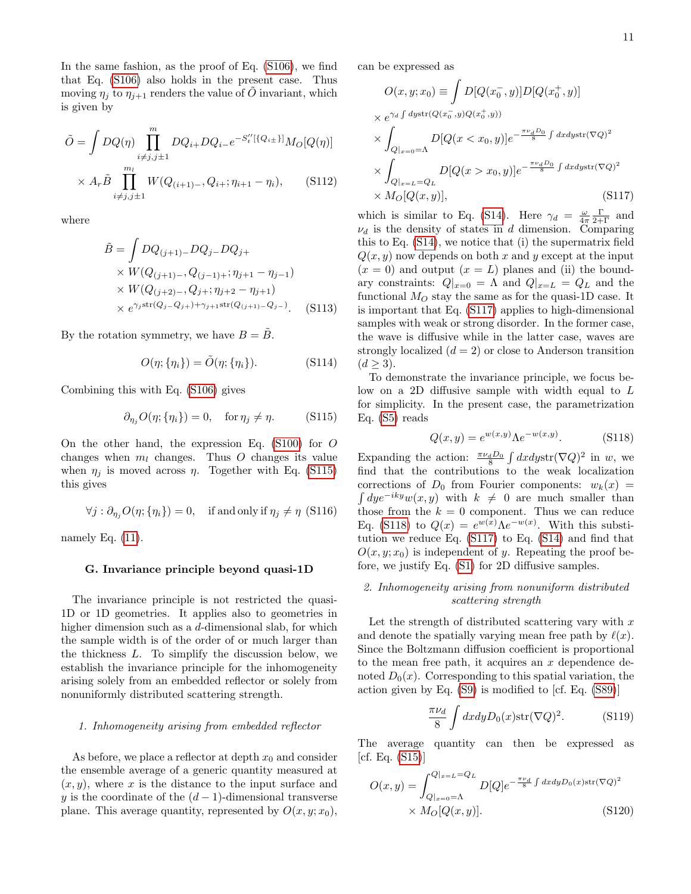In the same fashion, as the proof of Eq. [\(S106\)](#page-15-3), we find that Eq. [\(S106\)](#page-15-3) also holds in the present case. Thus moving  $\eta_i$  to  $\eta_{i+1}$  renders the value of O invariant, which is given by

$$
\tilde{O} = \int DQ(\eta) \prod_{i \neq j, j \pm 1}^{m} DQ_{i+} DQ_{i-} e^{-S_t''[\{Q_{i\pm}\}]} M_O[Q(\eta)]
$$
  
 
$$
\times A_r \tilde{B} \prod_{i \neq j, j \pm 1}^{m_l} W(Q_{(i+1)-}, Q_{i+}; \eta_{i+1} - \eta_i), \qquad (S112)
$$

where

$$
\tilde{B} = \int DQ_{(j+1)-}DQ_{j-}DQ_{j+} \times W(Q_{(j+1)-}, Q_{(j-1)+}; \eta_{j+1} - \eta_{j-1}) \times W(Q_{(j+2)-}, Q_{j+}; \eta_{j+2} - \eta_{j+1}) \times e^{\gamma_j \operatorname{str}(Q_{j-}Q_{j+}) + \gamma_{j+1} \operatorname{str}(Q_{(j+1)-}Q_{j-})}.
$$
\n(S113)

By the rotation symmetry, we have  $B = \tilde{B}$ .

$$
O(\eta; \{\eta_i\}) = \tilde{O}(\eta; \{\eta_i\}). \tag{S114}
$$

Combining this with Eq. [\(S106\)](#page-15-3) gives

<span id="page-16-0"></span>
$$
\partial_{\eta_j} O(\eta; \{\eta_i\}) = 0, \quad \text{for } \eta_j \neq \eta. \tag{S115}
$$

On the other hand, the expression Eq. [\(S100\)](#page-15-0) for O changes when  $m_l$  changes. Thus O changes its value when  $\eta_j$  is moved across  $\eta$ . Together with Eq. [\(S115\)](#page-16-0) this gives

$$
\forall j : \partial_{\eta_j} O(\eta; \{\eta_i\}) = 0, \quad \text{if and only if } \eta_j \neq \eta \text{ (S116)}
$$

namely Eq.  $(11)$ .

## G. Invariance principle beyond quasi-1D

The invariance principle is not restricted the quasi-1D or 1D geometries. It applies also to geometries in higher dimension such as a d-dimensional slab, for which the sample width is of the order of or much larger than the thickness L. To simplify the discussion below, we establish the invariance principle for the inhomogeneity arising solely from an embedded reflector or solely from nonuniformly distributed scattering strength.

#### 1. Inhomogeneity arising from embedded reflector

As before, we place a reflector at depth  $x_0$  and consider the ensemble average of a generic quantity measured at  $(x, y)$ , where x is the distance to the input surface and y is the coordinate of the  $(d-1)$ -dimensional transverse plane. This average quantity, represented by  $O(x, y; x_0)$ ,

can be expressed as

<span id="page-16-1"></span>
$$
O(x, y; x_0) \equiv \int D[Q(x_0^-, y)]D[Q(x_0^+, y)]
$$
  
\n
$$
\times e^{\gamma_d \int dy \operatorname{str}(Q(x_0^-, y)Q(x_0^+, y))}
$$
  
\n
$$
\times \int_{Q|_{x=0}=\Lambda} D[Q(x < x_0, y)]e^{-\frac{\pi\nu_d D_0}{8} \int dx dy \operatorname{str}(\nabla Q)^2}
$$
  
\n
$$
\times \int_{Q|_{x=L}=Q_L} D[Q(x > x_0, y)]e^{-\frac{\pi\nu_d D_0}{8} \int dx dy \operatorname{str}(\nabla Q)^2}
$$
  
\n
$$
\times M_O[Q(x, y)],
$$
\n(S117)

which is similar to Eq. [\(S14\)](#page-9-1). Here  $\gamma_d = \frac{\omega}{4\pi} \frac{\Gamma}{2+\Gamma}$  and  $\nu_d$  is the density of states in d dimension. Comparing this to Eq. [\(S14\)](#page-9-1), we notice that (i) the supermatrix field  $Q(x, y)$  now depends on both x and y except at the input  $(x = 0)$  and output  $(x = L)$  planes and (ii) the boundary constraints:  $Q|_{x=0} = \Lambda$  and  $Q|_{x=L} = Q_L$  and the functional  $M_O$  stay the same as for the quasi-1D case. It is important that Eq. [\(S117\)](#page-16-1) applies to high-dimensional samples with weak or strong disorder. In the former case, the wave is diffusive while in the latter case, waves are strongly localized  $(d = 2)$  or close to Anderson transition  $(d \geq 3)$ .

To demonstrate the invariance principle, we focus below on a 2D diffusive sample with width equal to L for simplicity. In the present case, the parametrization Eq. [\(S5\)](#page-2-0) reads

<span id="page-16-2"></span>
$$
Q(x, y) = e^{w(x, y)} \Lambda e^{-w(x, y)}.
$$
 (S118)

Expanding the action:  $\frac{\pi \nu_d D_0}{8} \int dx dy \text{str}(\nabla Q)^2$  in w, we find that the contributions to the weak localization corrections of  $D_0$  from Fourier components:  $w_k(x) =$  $\int dy e^{-iky} w(x, y)$  with  $k \neq 0$  are much smaller than those from the  $k = 0$  component. Thus we can reduce Eq. [\(S118\)](#page-16-2) to  $Q(x) = e^{w(x)} \Lambda e^{-w(x)}$ . With this substitution we reduce Eq. [\(S117\)](#page-16-1) to Eq. [\(S14\)](#page-9-1) and find that  $O(x, y; x_0)$  is independent of y. Repeating the proof before, we justify Eq. [\(S1\)](#page-0-0) for 2D diffusive samples.

## 2. Inhomogeneity arising from nonuniform distributed scattering strength

Let the strength of distributed scattering vary with  $x$ and denote the spatially varying mean free path by  $\ell(x)$ . Since the Boltzmann diffusion coefficient is proportional to the mean free path, it acquires an  $x$  dependence denoted  $D_0(x)$ . Corresponding to this spatial variation, the action given by Eq. [\(S9\)](#page-3-4) is modified to [cf. Eq. [\(S89\)](#page-14-0)]

$$
\frac{\pi \nu_d}{8} \int dx dy D_0(x) \text{str}(\nabla Q)^2.
$$
 (S119)

The average quantity can then be expressed as  $[cf. Eq. (S15)]$  $[cf. Eq. (S15)]$  $[cf. Eq. (S15)]$ 

<span id="page-16-3"></span>
$$
O(x,y) = \int_{Q|_{x=0}=\Lambda}^{Q|_{x=L}=Q_L} D[Q]e^{-\frac{\pi \nu_d}{8} \int dx dy D_0(x) \operatorname{str}(\nabla Q)^2} \times M_O[Q(x,y)].
$$
\n(S120)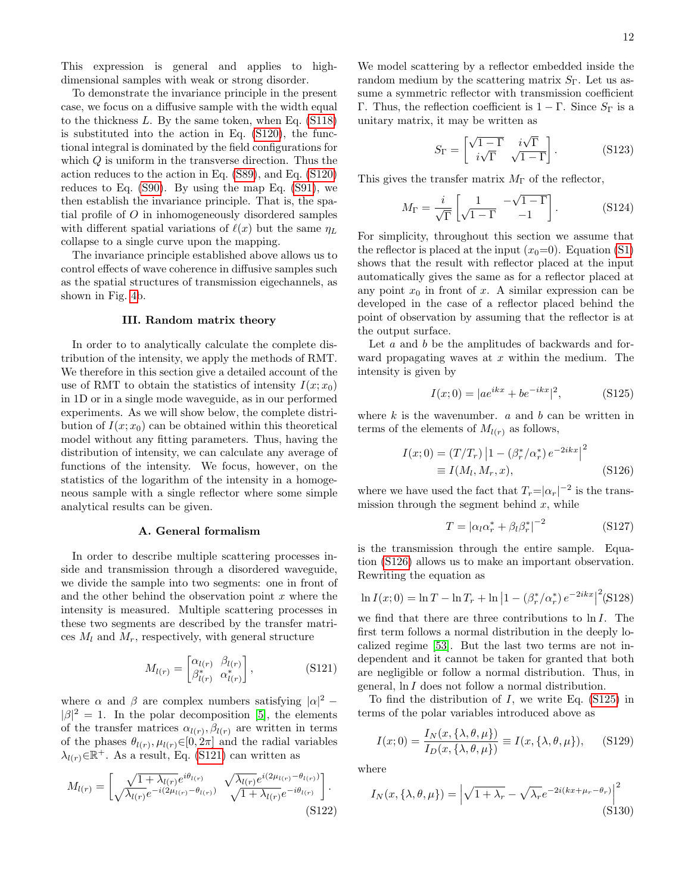This expression is general and applies to highdimensional samples with weak or strong disorder.

To demonstrate the invariance principle in the present case, we focus on a diffusive sample with the width equal to the thickness  $L$ . By the same token, when Eq.  $(S118)$ is substituted into the action in Eq. [\(S120\)](#page-16-3), the functional integral is dominated by the field configurations for which  $Q$  is uniform in the transverse direction. Thus the action reduces to the action in Eq. [\(S89\)](#page-14-0), and Eq. [\(S120\)](#page-16-3) reduces to Eq. [\(S90\)](#page-14-1). By using the map Eq. [\(S91\)](#page-14-2), we then establish the invariance principle. That is, the spatial profile of O in inhomogeneously disordered samples with different spatial variations of  $\ell(x)$  but the same  $\eta_L$ collapse to a single curve upon the mapping.

The invariance principle established above allows us to control effects of wave coherence in diffusive samples such as the spatial structures of transmission eigechannels, as shown in Fig. [4b](#page-4-15).

#### III. Random matrix theory

In order to to analytically calculate the complete distribution of the intensity, we apply the methods of RMT. We therefore in this section give a detailed account of the use of RMT to obtain the statistics of intensity  $I(x; x_0)$ in 1D or in a single mode waveguide, as in our performed experiments. As we will show below, the complete distribution of  $I(x; x_0)$  can be obtained within this theoretical model without any fitting parameters. Thus, having the distribution of intensity, we can calculate any average of functions of the intensity. We focus, however, on the statistics of the logarithm of the intensity in a homogeneous sample with a single reflector where some simple analytical results can be given.

#### A. General formalism

In order to describe multiple scattering processes inside and transmission through a disordered waveguide, we divide the sample into two segments: one in front of and the other behind the observation point  $x$  where the intensity is measured. Multiple scattering processes in these two segments are described by the transfer matrices  $M_l$  and  $M_r$ , respectively, with general structure

<span id="page-17-0"></span>
$$
M_{l(r)} = \begin{bmatrix} \alpha_{l(r)} & \beta_{l(r)} \\ \beta_{l(r)}^* & \alpha_{l(r)}^* \end{bmatrix},\tag{S121}
$$

where  $\alpha$  and  $\beta$  are complex numbers satisfying  $|\alpha|^2$  –  $|\beta|^2 = 1$ . In the polar decomposition [\[5\]](#page-4-13), the elements of the transfer matrices  $\alpha_{l(r)}, \beta_{l(r)}$  are written in terms of the phases  $\theta_{l(r)}, \mu_{l(r)} \in [0, 2\pi]$  and the radial variables  $\lambda_{l(r)} \in \mathbb{R}^+$ . As a result, Eq. [\(S121\)](#page-17-0) can written as

$$
M_{l(r)} = \begin{bmatrix} \sqrt{1 + \lambda_{l(r)}} e^{i\theta_{l(r)}} & \sqrt{\lambda_{l(r)}} e^{i(2\mu_{l(r)} - \theta_{l(r)})} \\ \sqrt{\lambda_{l(r)}} e^{-i(2\mu_{l(r)} - \theta_{l(r)})} & \sqrt{1 + \lambda_{l(r)}} e^{-i\theta_{l(r)}} \end{bmatrix}.
$$
\n(S122)

We model scattering by a reflector embedded inside the random medium by the scattering matrix  $S_{\Gamma}$ . Let us assume a symmetric reflector with transmission coefficient Γ. Thus, the reflection coefficient is  $1 - \Gamma$ . Since  $S_{\Gamma}$  is a unitary matrix, it may be written as

$$
S_{\Gamma} = \begin{bmatrix} \sqrt{1-\Gamma} & i\sqrt{\Gamma} \\ i\sqrt{\Gamma} & \sqrt{1-\Gamma} \end{bmatrix} .
$$
 (S123)

This gives the transfer matrix  $M_{\Gamma}$  of the reflector,

$$
M_{\Gamma} = \frac{i}{\sqrt{\Gamma}} \begin{bmatrix} 1 & -\sqrt{1-\Gamma} \\ \sqrt{1-\Gamma} & -1 \end{bmatrix} . \tag{S124}
$$

For simplicity, throughout this section we assume that the reflector is placed at the input  $(x_0=0)$ . Equation [\(S1\)](#page-0-0) shows that the result with reflector placed at the input automatically gives the same as for a reflector placed at any point  $x_0$  in front of x. A similar expression can be developed in the case of a reflector placed behind the point of observation by assuming that the reflector is at the output surface.

Let a and b be the amplitudes of backwards and forward propagating waves at  $x$  within the medium. The intensity is given by

<span id="page-17-2"></span>
$$
I(x;0) = |ae^{ikx} + be^{-ikx}|^2,
$$
 (S125)

where  $k$  is the wavenumber.  $a$  and  $b$  can be written in terms of the elements of  $M_{l(r)}$  as follows,

<span id="page-17-1"></span>
$$
I(x;0) = (T/T_r) |1 - (\beta_r^* / \alpha_r^*) e^{-2ikx}|^2
$$
  
\n
$$
\equiv I(M_l, M_r, x),
$$
 (S126)

where we have used the fact that  $T_r = |\alpha_r|^{-2}$  is the transmission through the segment behind  $x$ , while

$$
T = |\alpha_l \alpha_r^* + \beta_l \beta_r^*|^{-2}
$$
 (S127)

is the transmission through the entire sample. Equation [\(S126\)](#page-17-1) allows us to make an important observation. Rewriting the equation as

$$
\ln I(x;0) = \ln T - \ln T_r + \ln |1 - (\beta_r^*/\alpha_r^*) e^{-2ikx}|^2 \text{(S128)}
$$

we find that there are three contributions to ln I. The first term follows a normal distribution in the deeply localized regime [\[53\]](#page-5-28). But the last two terms are not independent and it cannot be taken for granted that both are negligible or follow a normal distribution. Thus, in general, ln I does not follow a normal distribution.

To find the distribution of  $I$ , we write Eq.  $(S125)$  in terms of the polar variables introduced above as

<span id="page-17-3"></span>
$$
I(x;0) = \frac{I_N(x,\{\lambda,\theta,\mu\})}{I_D(x,\{\lambda,\theta,\mu\})} \equiv I(x,\{\lambda,\theta,\mu\}), \quad \text{(S129)}
$$

where

<span id="page-17-4"></span>
$$
I_N(x, \{\lambda, \theta, \mu\}) = \left|\sqrt{1 + \lambda_r} - \sqrt{\lambda_r}e^{-2i(kx + \mu_r - \theta_r)}\right|^2
$$
\n(S130)